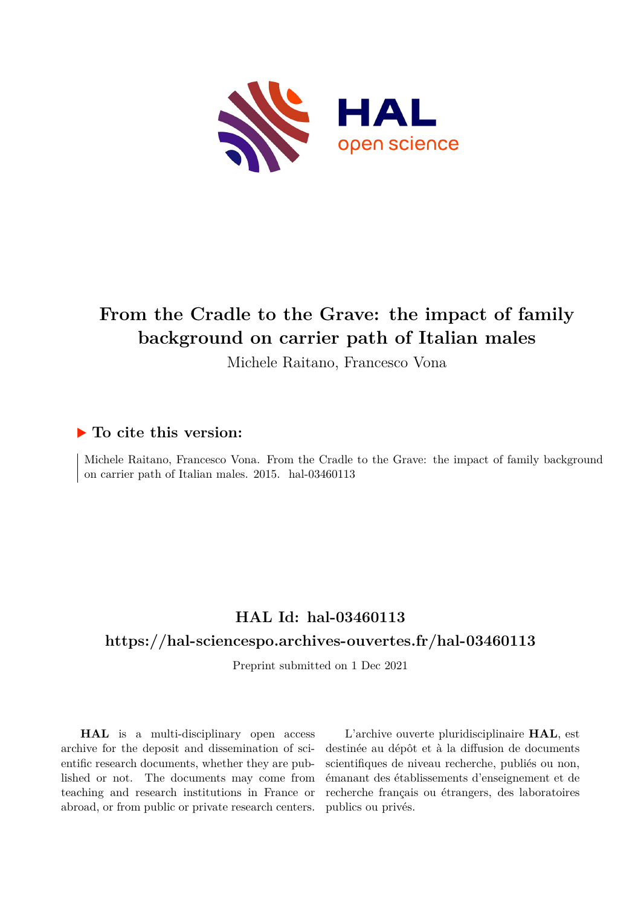

## **From the Cradle to the Grave: the impact of family background on carrier path of Italian males**

Michele Raitano, Francesco Vona

#### **To cite this version:**

Michele Raitano, Francesco Vona. From the Cradle to the Grave: the impact of family background on carrier path of Italian males. 2015. hal-03460113

### **HAL Id: hal-03460113**

#### **<https://hal-sciencespo.archives-ouvertes.fr/hal-03460113>**

Preprint submitted on 1 Dec 2021

**HAL** is a multi-disciplinary open access archive for the deposit and dissemination of scientific research documents, whether they are published or not. The documents may come from teaching and research institutions in France or abroad, or from public or private research centers.

L'archive ouverte pluridisciplinaire **HAL**, est destinée au dépôt et à la diffusion de documents scientifiques de niveau recherche, publiés ou non, émanant des établissements d'enseignement et de recherche français ou étrangers, des laboratoires publics ou privés.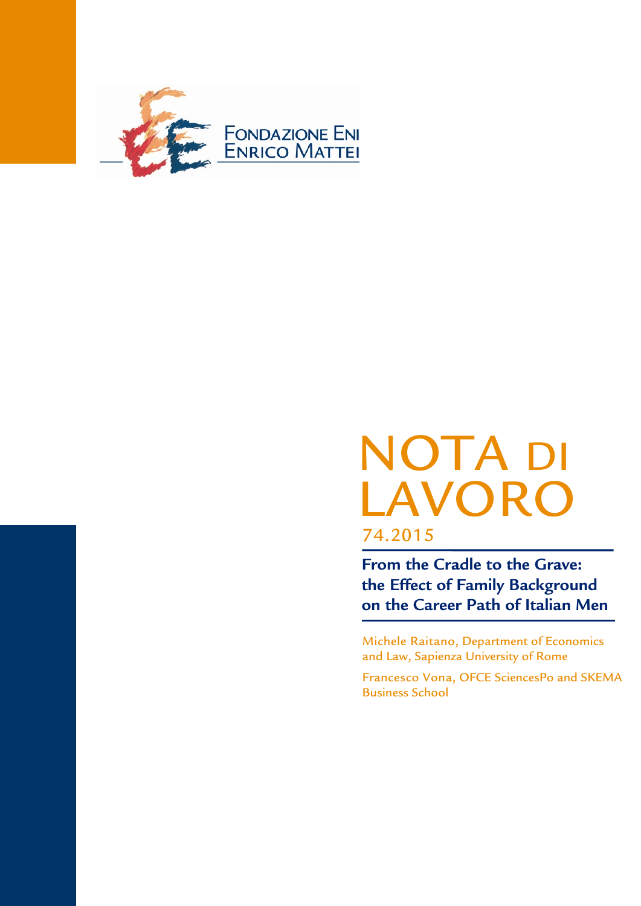

# NOTA DI LAVORO 74.2015

**From the Cradle to the Grave: the Effect of Family Background on the Career Path of Italian Men**

Michele Raitano, Department of Economics and Law, Sapienza University of Rome

Francesco Vona, OFCE SciencesPo and SKEMA Business School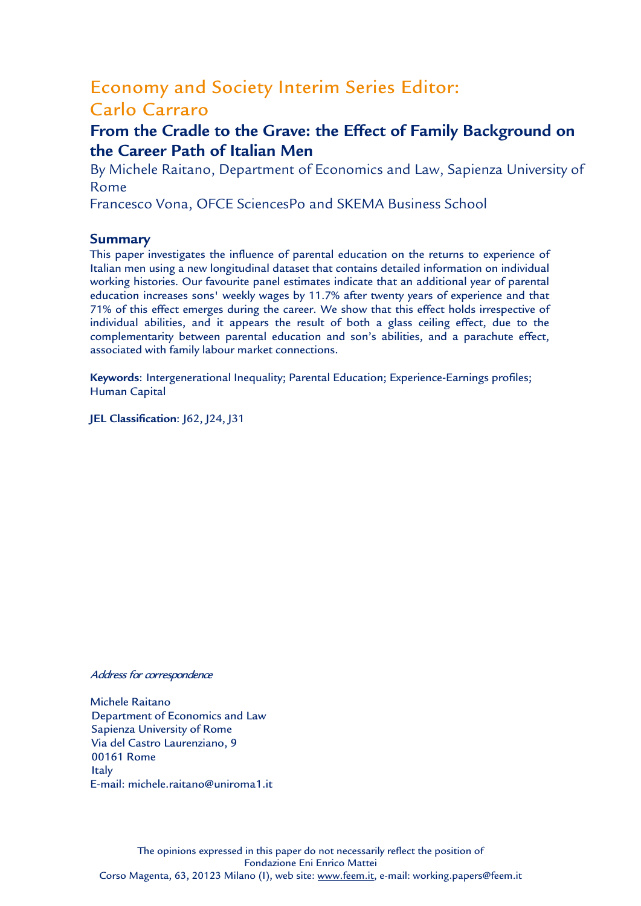## Economy and Society Interim Series Editor: Carlo Carraro

## **From the Cradle to the Grave: the Effect of Family Background on the Career Path of Italian Men**

By Michele Raitano, Department of Economics and Law, Sapienza University of Rome

Francesco Vona, OFCE SciencesPo and SKEMA Business School

#### **Summary**

This paper investigates the influence of parental education on the returns to experience of Italian men using a new longitudinal dataset that contains detailed information on individual working histories. Our favourite panel estimates indicate that an additional year of parental education increases sons' weekly wages by 11.7% after twenty years of experience and that 71% of this effect emerges during the career. We show that this effect holds irrespective of individual abilities, and it appears the result of both a glass ceiling effect, due to the complementarity between parental education and son's abilities, and a parachute effect, associated with family labour market connections.

**Keywords**: Intergenerational Inequality; Parental Education; Experience-Earnings profiles; Human Capital

**JEL Classification: 162, 124, 131** 

#### Address for correspondence

Michele Raitano Department of Economics and Law Sapienza University of Rome Via del Castro Laurenziano, 9 00161 Rome **Italy** E-mail: michele.raitano@uniroma1.it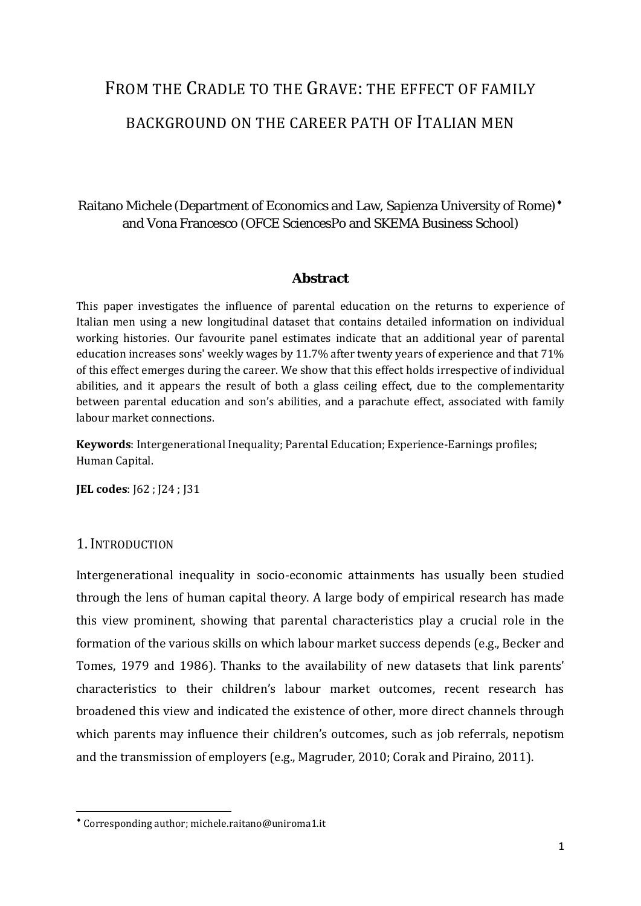# FROM THE CRADLE TO THE GRAVE: THE EFFECT OF FAMILY BACKGROUND ON THE CAREER PATH OF ITALIAN MEN

#### Raitano Michele (Department of Economics and Law, Sapienza University of Rome) [♦](#page-3-0) and Vona Francesco (OFCE SciencesPo and SKEMA Business School)

#### **Abstract**

This paper investigates the influence of parental education on the returns to experience of Italian men using a new longitudinal dataset that contains detailed information on individual working histories. Our favourite panel estimates indicate that an additional year of parental education increases sons' weekly wages by 11.7% after twenty years of experience and that 71% of this effect emerges during the career. We show that this effect holds irrespective of individual abilities, and it appears the result of both a glass ceiling effect, due to the complementarity between parental education and son's abilities, and a parachute effect, associated with family labour market connections.

**Keywords**: Intergenerational Inequality; Parental Education; Experience-Earnings profiles; Human Capital.

**JEL codes**: J62 ; J24 ; J31

#### 1. INTRODUCTION

Intergenerational inequality in socio-economic attainments has usually been studied through the lens of human capital theory. A large body of empirical research has made this view prominent, showing that parental characteristics play a crucial role in the formation of the various skills on which labour market success depends (e.g., Becker and Tomes, 1979 and 1986). Thanks to the availability of new datasets that link parents' characteristics to their children's labour market outcomes, recent research has broadened this view and indicated the existence of other, more direct channels through which parents may influence their children's outcomes, such as job referrals, nepotism and the transmission of employers (e.g., Magruder, 2010; Corak and Piraino, 2011).

<span id="page-3-0"></span>♦ Corresponding author; michele.raitano@uniroma1.it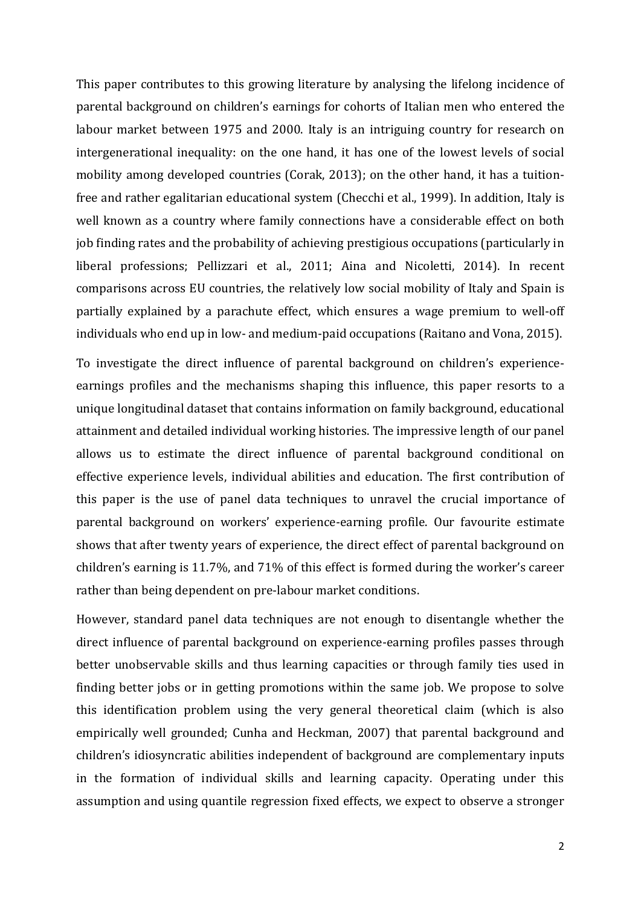This paper contributes to this growing literature by analysing the lifelong incidence of parental background on children's earnings for cohorts of Italian men who entered the labour market between 1975 and 2000. Italy is an intriguing country for research on intergenerational inequality: on the one hand, it has one of the lowest levels of social mobility among developed countries (Corak, 2013); on the other hand, it has a tuitionfree and rather egalitarian educational system (Checchi et al., 1999). In addition, Italy is well known as a country where family connections have a considerable effect on both job finding rates and the probability of achieving prestigious occupations (particularly in liberal professions; Pellizzari et al., 2011; Aina and Nicoletti, 2014). In recent comparisons across EU countries, the relatively low social mobility of Italy and Spain is partially explained by a parachute effect, which ensures a wage premium to well-off individuals who end up in low- and medium-paid occupations (Raitano and Vona, 2015).

To investigate the direct influence of parental background on children's experienceearnings profiles and the mechanisms shaping this influence, this paper resorts to a unique longitudinal dataset that contains information on family background, educational attainment and detailed individual working histories. The impressive length of our panel allows us to estimate the direct influence of parental background conditional on effective experience levels, individual abilities and education. The first contribution of this paper is the use of panel data techniques to unravel the crucial importance of parental background on workers' experience-earning profile. Our favourite estimate shows that after twenty years of experience, the direct effect of parental background on children's earning is 11.7%, and 71% of this effect is formed during the worker's career rather than being dependent on pre-labour market conditions.

However, standard panel data techniques are not enough to disentangle whether the direct influence of parental background on experience-earning profiles passes through better unobservable skills and thus learning capacities or through family ties used in finding better jobs or in getting promotions within the same job. We propose to solve this identification problem using the very general theoretical claim (which is also empirically well grounded; Cunha and Heckman, 2007) that parental background and children's idiosyncratic abilities independent of background are complementary inputs in the formation of individual skills and learning capacity. Operating under this assumption and using quantile regression fixed effects, we expect to observe a stronger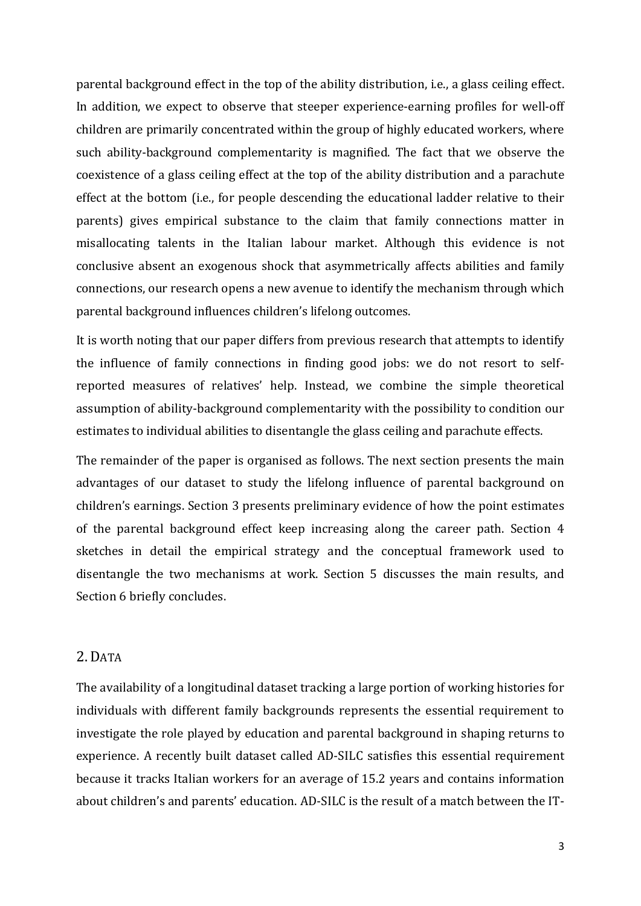parental background effect in the top of the ability distribution, i.e., a glass ceiling effect. In addition, we expect to observe that steeper experience-earning profiles for well-off children are primarily concentrated within the group of highly educated workers, where such ability-background complementarity is magnified. The fact that we observe the coexistence of a glass ceiling effect at the top of the ability distribution and a parachute effect at the bottom (i.e., for people descending the educational ladder relative to their parents) gives empirical substance to the claim that family connections matter in misallocating talents in the Italian labour market. Although this evidence is not conclusive absent an exogenous shock that asymmetrically affects abilities and family connections, our research opens a new avenue to identify the mechanism through which parental background influences children's lifelong outcomes.

It is worth noting that our paper differs from previous research that attempts to identify the influence of family connections in finding good jobs: we do not resort to selfreported measures of relatives' help. Instead, we combine the simple theoretical assumption of ability-background complementarity with the possibility to condition our estimates to individual abilities to disentangle the glass ceiling and parachute effects.

The remainder of the paper is organised as follows. The next section presents the main advantages of our dataset to study the lifelong influence of parental background on children's earnings. Section 3 presents preliminary evidence of how the point estimates of the parental background effect keep increasing along the career path. Section 4 sketches in detail the empirical strategy and the conceptual framework used to disentangle the two mechanisms at work. Section 5 discusses the main results, and Section 6 briefly concludes.

#### 2. DATA

The availability of a longitudinal dataset tracking a large portion of working histories for individuals with different family backgrounds represents the essential requirement to investigate the role played by education and parental background in shaping returns to experience. A recently built dataset called AD-SILC satisfies this essential requirement because it tracks Italian workers for an average of 15.2 years and contains information about children's and parents' education. AD-SILC is the result of a match between the IT-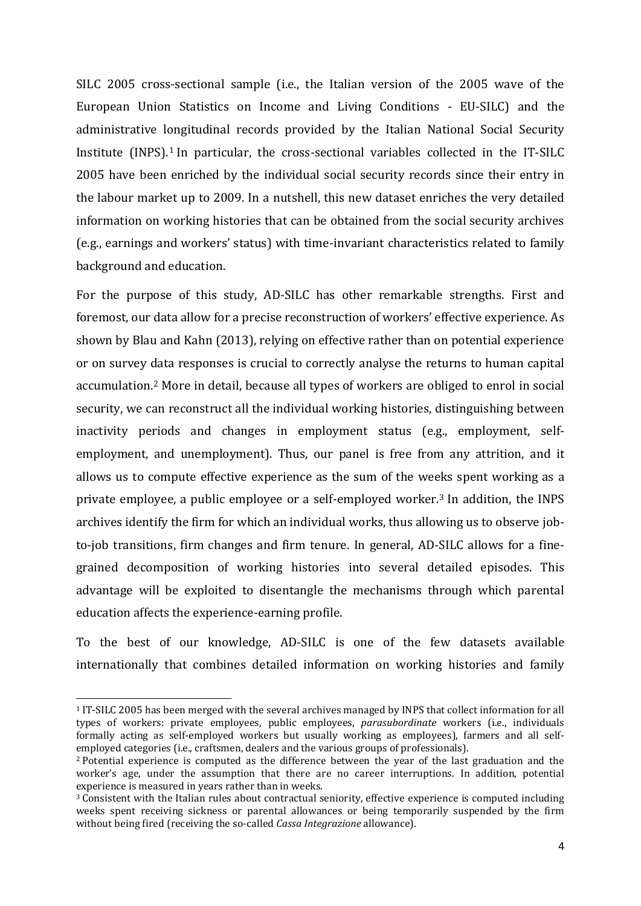SILC 2005 cross-sectional sample (i.e., the Italian version of the 2005 wave of the European Union Statistics on Income and Living Conditions - EU-SILC) and the administrative l[on](#page-6-0)gitudinal records provided by the Italian National Social Security Institute (INPS). <sup>1</sup> In particular, the cross-sectional variables collected in the IT-SILC 2005 have been enriched by the individual social security records since their entry in the labour market up to 2009. In a nutshell, this new dataset enriches the very detailed information on working histories that can be obtained from the social security archives (e.g., earnings and workers' status) with time-invariant characteristics related to family background and education.

For the purpose of this study, AD-SILC has other remarkable strengths. First and foremost, our data allow for a precise reconstruction of workers' effective experience. As shown by Blau and Kahn (2013), relying on effective rather than on potential experience or on survey data responses is crucial to correctly analyse the returns to human capital accumulation.[2](#page-6-1) More in detail, because all types of workers are obliged to enrol in social security, we can reconstruct all the individual working histories, distinguishing between inactivity periods and changes in employment status (e.g., employment, selfemployment, and unemployment). Thus, our panel is free from any attrition, and it allows us to compute effective experience as the sum of the weeks spent working as a private employee, a public employee or a self-employed worker.[3](#page-6-2) In addition, the INPS archives identify the firm for which an individual works, thus allowing us to observe jobto-job transitions, firm changes and firm tenure. In general, AD-SILC allows for a finegrained decomposition of working histories into several detailed episodes. This advantage will be exploited to disentangle the mechanisms through which parental education affects the experience-earning profile.

To the best of our knowledge, AD-SILC is one of the few datasets available internationally that combines detailed information on working histories and family

<span id="page-6-0"></span> <sup>1</sup> IT-SILC 2005 has been merged with the several archives managed by INPS that collect information for all types of workers: private employees, public employees, *parasubordinate* workers (i.e., individuals formally acting as self-employed workers but usually working as employees), farmers and all selfemployed categories (i.e., craftsmen, dealers and the various groups of professionals).

<span id="page-6-1"></span><sup>2</sup> Potential experience is computed as the difference between the year of the last graduation and the worker's age, under the assumption that there are no career interruptions. In addition, potential experience is measured in vears rather than in weeks.

<span id="page-6-2"></span> $3$  Consistent with the Italian rules about contractual seniority, effective experience is computed including weeks spent receiving sickness or parental allowances or being temporarily suspended by the firm without being fired (receiving the so-called *Cassa Integrazione* allowance).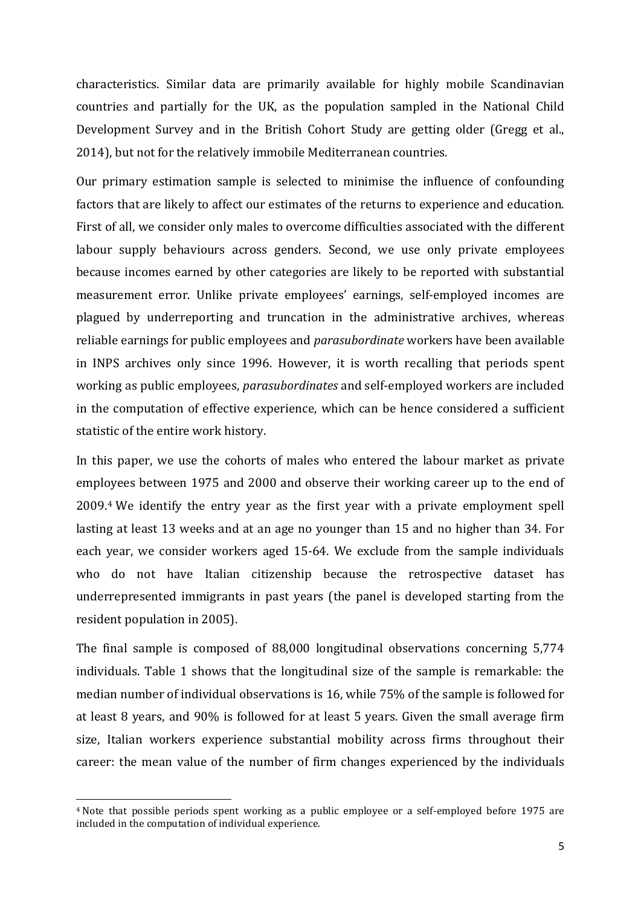characteristics. Similar data are primarily available for highly mobile Scandinavian countries and partially for the UK, as the population sampled in the National Child Development Survey and in the British Cohort Study are getting older (Gregg et al., 2014), but not for the relatively immobile Mediterranean countries.

Our primary estimation sample is selected to minimise the influence of confounding factors that are likely to affect our estimates of the returns to experience and education. First of all, we consider only males to overcome difficulties associated with the different labour supply behaviours across genders. Second, we use only private employees because incomes earned by other categories are likely to be reported with substantial measurement error. Unlike private employees' earnings, self-employed incomes are plagued by underreporting and truncation in the administrative archives, whereas reliable earnings for public employees and *parasubordinate* workers have been available in INPS archives only since 1996. However, it is worth recalling that periods spent working as public employees, *parasubordinates* and self-employed workers are included in the computation of effective experience, which can be hence considered a sufficient statistic of the entire work history.

In this paper, we use the cohorts of males who entered the labour market as private employees between 1975 and 2000 and observe their working career up to the end of 2009.[4](#page-7-0) We identify the entry year as the first year with a private employment spell lasting at least 13 weeks and at an age no younger than 15 and no higher than 34. For each year, we consider workers aged 15-64. We exclude from the sample individuals who do not have Italian citizenship because the retrospective dataset has underrepresented immigrants in past years (the panel is developed starting from the resident population in 2005).

The final sample is composed of 88,000 longitudinal observations concerning 5,774 individuals. Table 1 shows that the longitudinal size of the sample is remarkable: the median number of individual observations is 16, while 75% of the sample is followed for at least 8 years, and 90% is followed for at least 5 years. Given the small average firm size, Italian workers experience substantial mobility across firms throughout their career: the mean value of the number of firm changes experienced by the individuals

<span id="page-7-0"></span> <sup>4</sup> Note that possible periods spent working as a public employee or a self-employed before 1975 are included in the computation of individual experience.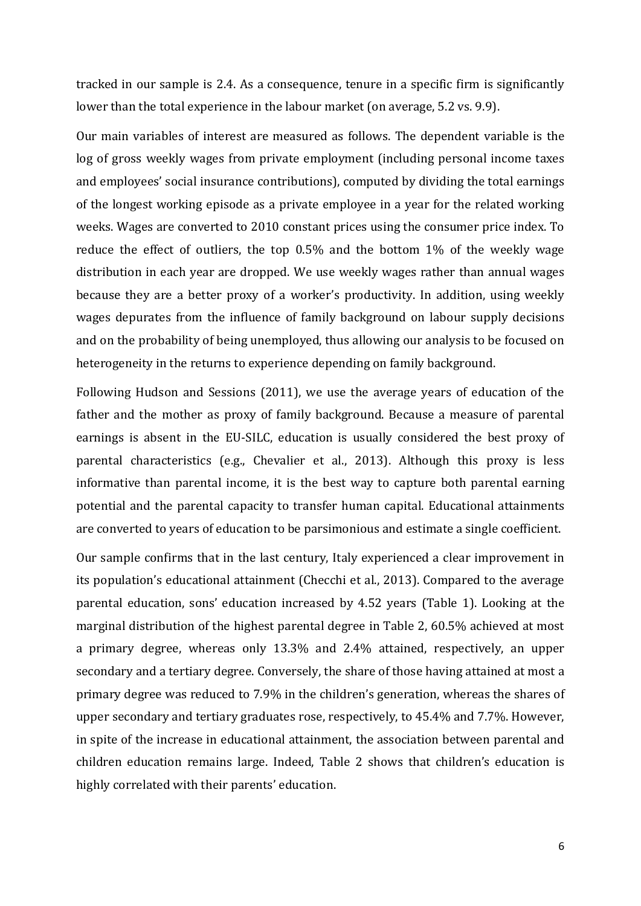tracked in our sample is 2.4. As a consequence, tenure in a specific firm is significantly lower than the total experience in the labour market (on average, 5.2 vs. 9.9).

Our main variables of interest are measured as follows. The dependent variable is the log of gross weekly wages from private employment (including personal income taxes and employees' social insurance contributions), computed by dividing the total earnings of the longest working episode as a private employee in a year for the related working weeks. Wages are converted to 2010 constant prices using the consumer price index. To reduce the effect of outliers, the top 0.5% and the bottom 1% of the weekly wage distribution in each year are dropped. We use weekly wages rather than annual wages because they are a better proxy of a worker's productivity. In addition, using weekly wages depurates from the influence of family background on labour supply decisions and on the probability of being unemployed, thus allowing our analysis to be focused on heterogeneity in the returns to experience depending on family background.

Following Hudson and Sessions (2011), we use the average years of education of the father and the mother as proxy of family background. Because a measure of parental earnings is absent in the EU-SILC, education is usually considered the best proxy of parental characteristics (e.g., Chevalier et al., 2013). Although this proxy is less informative than parental income, it is the best way to capture both parental earning potential and the parental capacity to transfer human capital. Educational attainments are converted to years of education to be parsimonious and estimate a single coefficient.

Our sample confirms that in the last century, Italy experienced a clear improvement in its population's educational attainment (Checchi et al., 2013). Compared to the average parental education, sons' education increased by 4.52 years (Table 1). Looking at the marginal distribution of the highest parental degree in Table 2, 60.5% achieved at most a primary degree, whereas only 13.3% and 2.4% attained, respectively, an upper secondary and a tertiary degree. Conversely, the share of those having attained at most a primary degree was reduced to 7.9% in the children's generation, whereas the shares of upper secondary and tertiary graduates rose, respectively, to 45.4% and 7.7%. However, in spite of the increase in educational attainment, the association between parental and children education remains large. Indeed, Table 2 shows that children's education is highly correlated with their parents' education.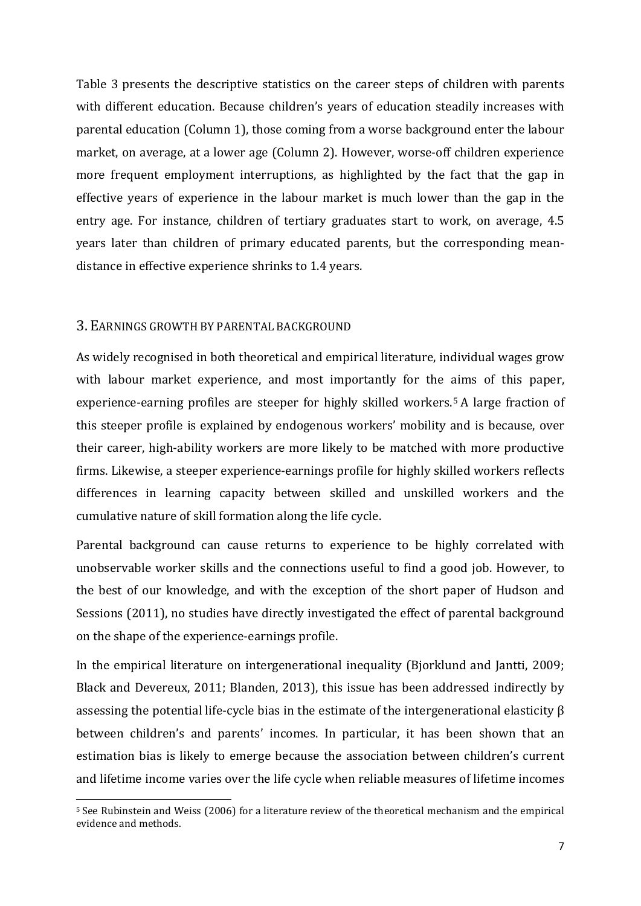Table 3 presents the descriptive statistics on the career steps of children with parents with different education. Because children's years of education steadily increases with parental education (Column 1), those coming from a worse background enter the labour market, on average, at a lower age (Column 2). However, worse-off children experience more frequent employment interruptions, as highlighted by the fact that the gap in effective years of experience in the labour market is much lower than the gap in the entry age. For instance, children of tertiary graduates start to work, on average, 4.5 years later than children of primary educated parents, but the corresponding meandistance in effective experience shrinks to 1.4 years.

#### 3. EARNINGS GROWTH BY PARENTAL BACKGROUND

As widely recognised in both theoretical and empirical literature, individual wages grow with labour market experience, and most importantly for the aims of this paper, experience-earning profiles are steeper for highly skilled workers.[5](#page-9-0) A large fraction of this steeper profile is explained by endogenous workers' mobility and is because, over their career, high-ability workers are more likely to be matched with more productive firms. Likewise, a steeper experience-earnings profile for highly skilled workers reflects differences in learning capacity between skilled and unskilled workers and the cumulative nature of skill formation along the life cycle.

Parental background can cause returns to experience to be highly correlated with unobservable worker skills and the connections useful to find a good job. However, to the best of our knowledge, and with the exception of the short paper of Hudson and Sessions (2011), no studies have directly investigated the effect of parental background on the shape of the experience-earnings profile.

In the empirical literature on intergenerational inequality (Bjorklund and Jantti, 2009; Black and Devereux, 2011; Blanden, 2013), this issue has been addressed indirectly by assessing the potential life-cycle bias in the estimate of the intergenerational elasticity β between children's and parents' incomes. In particular, it has been shown that an estimation bias is likely to emerge because the association between children's current and lifetime income varies over the life cycle when reliable measures of lifetime incomes

<span id="page-9-0"></span> <sup>5</sup> See Rubinstein and Weiss (2006) for a literature review of the theoretical mechanism and the empirical evidence and methods.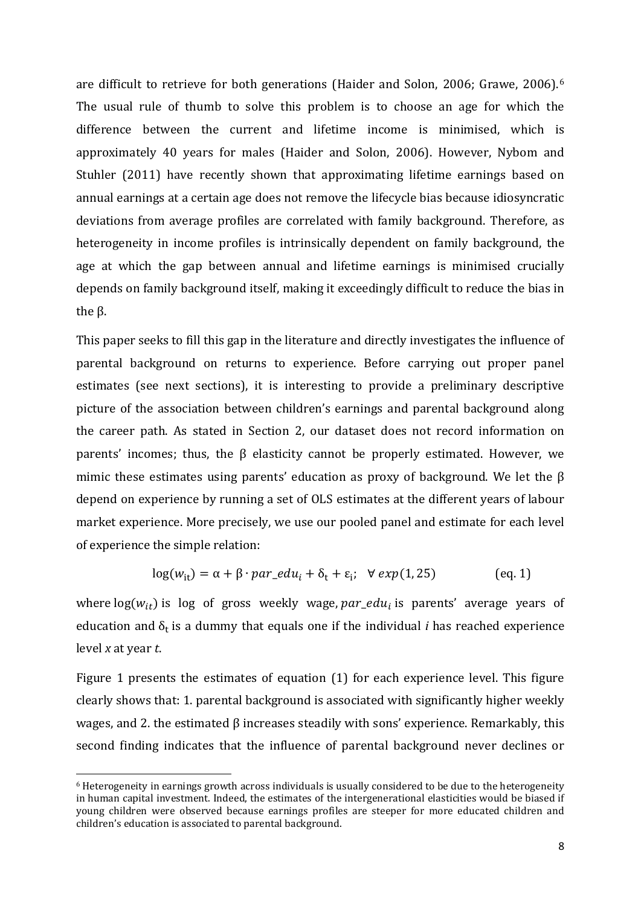are difficult to retrieve for both generations (Haider and Solon, 2006; Grawe, 2006).[6](#page-10-0) The usual rule of thumb to solve this problem is to choose an age for which the difference between the current and lifetime income is minimised, which is approximately 40 years for males (Haider and Solon, 2006). However, Nybom and Stuhler (2011) have recently shown that approximating lifetime earnings based on annual earnings at a certain age does not remove the lifecycle bias because idiosyncratic deviations from average profiles are correlated with family background. Therefore, as heterogeneity in income profiles is intrinsically dependent on family background, the age at which the gap between annual and lifetime earnings is minimised crucially depends on family background itself, making it exceedingly difficult to reduce the bias in the β.

This paper seeks to fill this gap in the literature and directly investigates the influence of parental background on returns to experience. Before carrying out proper panel estimates (see next sections), it is interesting to provide a preliminary descriptive picture of the association between children's earnings and parental background along the career path. As stated in Section 2, our dataset does not record information on parents' incomes; thus, the β elasticity cannot be properly estimated. However, we mimic these estimates using parents' education as proxy of background. We let the β depend on experience by running a set of OLS estimates at the different years of labour market experience. More precisely, we use our pooled panel and estimate for each level of experience the simple relation:

$$
log(w_{it}) = \alpha + \beta \cdot par\_edu_i + \delta_t + \varepsilon_i; \quad \forall \exp(1, 25) \tag{eq. 1}
$$

where  $log(w_{it})$  is log of gross weekly wage, par\_edu<sub>i</sub> is parents' average years of education and  $\delta_t$  is a dummy that equals one if the individual *i* has reached experience level *x* at year *t*.

Figure 1 presents the estimates of equation (1) for each experience level. This figure clearly shows that: 1. parental background is associated with significantly higher weekly wages, and 2. the estimated β increases steadily with sons' experience. Remarkably, this second finding indicates that the influence of parental background never declines or

<span id="page-10-0"></span> <sup>6</sup> Heterogeneity in earnings growth across individuals is usually considered to be due to the heterogeneity in human capital investment. Indeed, the estimates of the intergenerational elasticities would be biased if young children were observed because earnings profiles are steeper for more educated children and children's education is associated to parental background.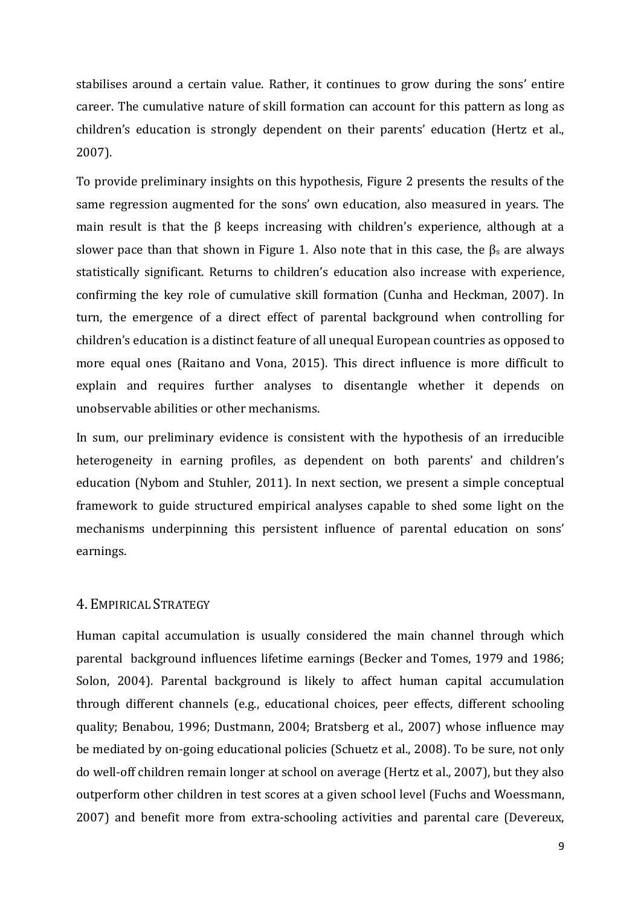stabilises around a certain value. Rather, it continues to grow during the sons' entire career. The cumulative nature of skill formation can account for this pattern as long as children's education is strongly dependent on their parents' education (Hertz et al., 2007).

To provide preliminary insights on this hypothesis, Figure 2 presents the results of the same regression augmented for the sons' own education, also measured in years. The main result is that the β keeps increasing with children's experience, although at a slower pace than that shown in Figure 1. Also note that in this case, the  $\beta_s$  are always statistically significant. Returns to children's education also increase with experience, confirming the key role of cumulative skill formation (Cunha and Heckman, 2007). In turn, the emergence of a direct effect of parental background when controlling for children's education is a distinct feature of all unequal European countries as opposed to more equal ones (Raitano and Vona, 2015). This direct influence is more difficult to explain and requires further analyses to disentangle whether it depends on unobservable abilities or other mechanisms.

In sum, our preliminary evidence is consistent with the hypothesis of an irreducible heterogeneity in earning profiles, as dependent on both parents' and children's education (Nybom and Stuhler, 2011). In next section, we present a simple conceptual framework to guide structured empirical analyses capable to shed some light on the mechanisms underpinning this persistent influence of parental education on sons' earnings.

#### 4. EMPIRICAL STRATEGY

Human capital accumulation is usually considered the main channel through which parental background influences lifetime earnings (Becker and Tomes, 1979 and 1986; Solon, 2004). Parental background is likely to affect human capital accumulation through different channels (e.g., educational choices, peer effects, different schooling quality; Benabou, 1996; Dustmann, 2004; Bratsberg et al., 2007) whose influence may be mediated by on-going educational policies (Schuetz et al., 2008). To be sure, not only do well-off children remain longer at school on average (Hertz et al., 2007), but they also outperform other children in test scores at a given school level (Fuchs and Woessmann, 2007) and benefit more from extra-schooling activities and parental care (Devereux,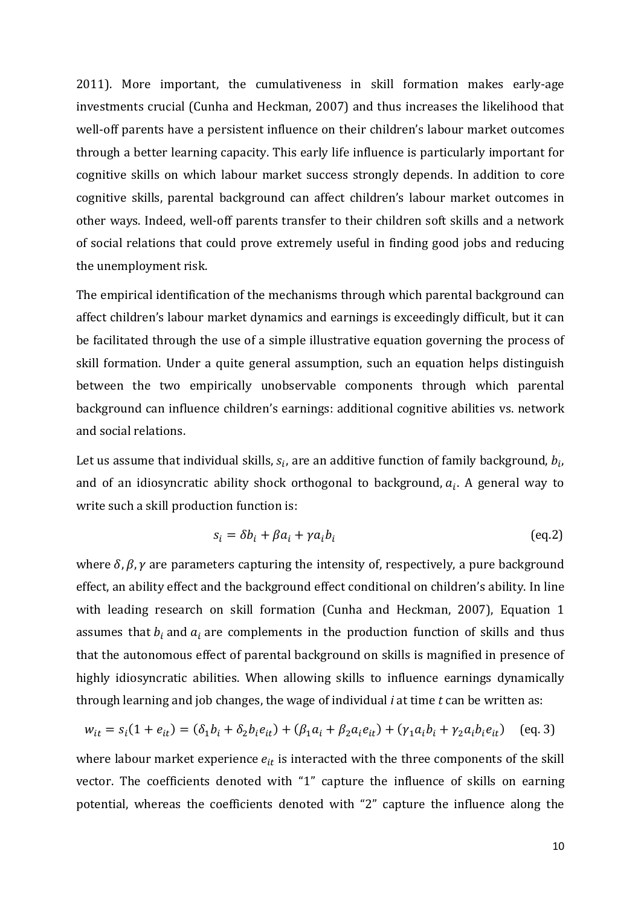2011). More important, the cumulativeness in skill formation makes early-age investments crucial (Cunha and Heckman, 2007) and thus increases the likelihood that well-off parents have a persistent influence on their children's labour market outcomes through a better learning capacity. This early life influence is particularly important for cognitive skills on which labour market success strongly depends. In addition to core cognitive skills, parental background can affect children's labour market outcomes in other ways. Indeed, well-off parents transfer to their children soft skills and a network of social relations that could prove extremely useful in finding good jobs and reducing the unemployment risk.

The empirical identification of the mechanisms through which parental background can affect children's labour market dynamics and earnings is exceedingly difficult, but it can be facilitated through the use of a simple illustrative equation governing the process of skill formation. Under a quite general assumption, such an equation helps distinguish between the two empirically unobservable components through which parental background can influence children's earnings: additional cognitive abilities vs. network and social relations.

Let us assume that individual skills,  $s_i$ , are an additive function of family background,  $b_i$ , and of an idiosyncratic ability shock orthogonal to background,  $a_i$ . A general way to write such a skill production function is:

$$
s_i = \delta b_i + \beta a_i + \gamma a_i b_i \tag{eq.2}
$$

where  $\delta$ ,  $\beta$ ,  $\gamma$  are parameters capturing the intensity of, respectively, a pure background effect, an ability effect and the background effect conditional on children's ability. In line with leading research on skill formation (Cunha and Heckman, 2007), Equation 1 assumes that  $b_i$  and  $a_i$  are complements in the production function of skills and thus that the autonomous effect of parental background on skills is magnified in presence of highly idiosyncratic abilities. When allowing skills to influence earnings dynamically through learning and job changes, the wage of individual *i* at time *t* can be written as:

$$
w_{it} = s_i(1 + e_{it}) = (\delta_1 b_i + \delta_2 b_i e_{it}) + (\beta_1 a_i + \beta_2 a_i e_{it}) + (\gamma_1 a_i b_i + \gamma_2 a_i b_i e_{it}) \quad \text{(eq. 3)}
$$

where labour market experience  $e_{it}$  is interacted with the three components of the skill vector. The coefficients denoted with "1" capture the influence of skills on earning potential, whereas the coefficients denoted with "2" capture the influence along the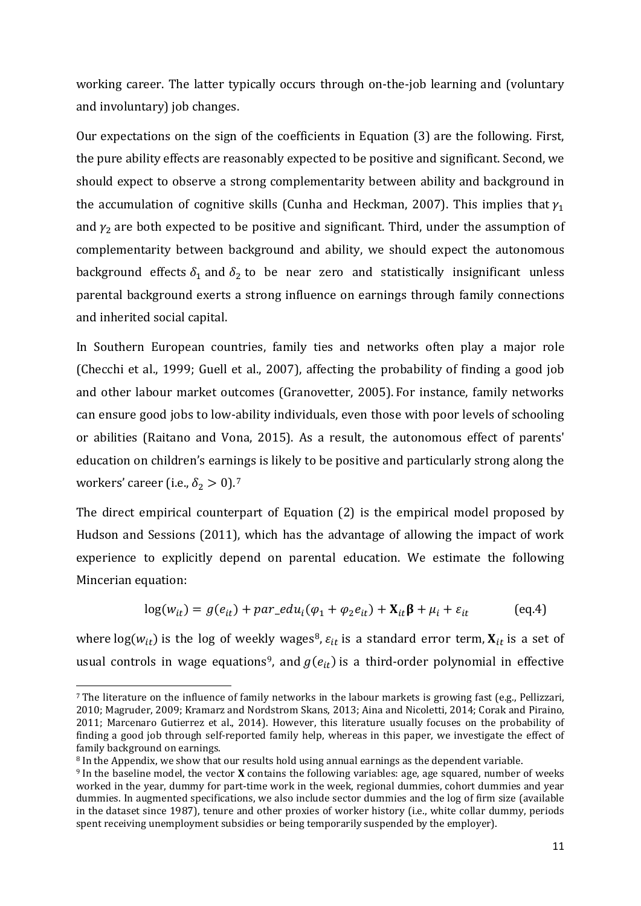working career. The latter typically occurs through on-the-job learning and (voluntary and involuntary) job changes.

Our expectations on the sign of the coefficients in Equation (3) are the following. First, the pure ability effects are reasonably expected to be positive and significant. Second, we should expect to observe a strong complementarity between ability and background in the accumulation of cognitive skills (Cunha and Heckman, 2007). This implies that  $\gamma_1$ and  $y_2$  are both expected to be positive and significant. Third, under the assumption of complementarity between background and ability, we should expect the autonomous background effects  $\delta_1$  and  $\delta_2$  to be near zero and statistically insignificant unless parental background exerts a strong influence on earnings through family connections and inherited social capital.

In Southern European countries, family ties and networks often play a major role (Checchi et al., 1999; Guell et al., 2007), affecting the probability of finding a good job and other labour market outcomes (Granovetter, 2005). For instance, family networks can ensure good jobs to low-ability individuals, even those with poor levels of schooling or abilities (Raitano and Vona, 2015). As a result, the autonomous effect of parents' education on children's earnings is likely to be positive and particularly strong along the workers' career (i.e.,  $\delta_2 > 0$ ).<sup>[7](#page-13-0)</sup>

The direct empirical counterpart of Equation (2) is the empirical model proposed by Hudson and Sessions (2011), which has the advantage of allowing the impact of work experience to explicitly depend on parental education. We estimate the following Mincerian equation:

$$
log(w_{it}) = g(e_{it}) + par\_edu_i(\varphi_1 + \varphi_2 e_{it}) + \mathbf{X}_{it}\boldsymbol{\beta} + \mu_i + \varepsilon_{it}
$$
 (eq.4)

where  $log(w_{it})$  is the log of weekly wages<sup>[8](#page-13-1)</sup>,  $\varepsilon_{it}$  is a standard error term,  $X_{it}$  is a set of usual controls in wage equations<sup>9</sup>, and  $g(e_{it})$  is a third-order polynomial in effective

<span id="page-13-0"></span> <sup>7</sup> The literature on the influence of family networks in the labour markets is growing fast (e.g., Pellizzari, 2010; Magruder, 2009; Kramarz and Nordstrom Skans, 2013; Aina and Nicoletti, 2014; Corak and Piraino, 2011; Marcenaro Gutierrez et al., 2014). However, this literature usually focuses on the probability of finding a good job through self-reported family help, whereas in this paper, we investigate the effect of family background on earnings.<br><sup>8</sup> In the Appendix, we show that our results hold using annual earnings as the dependent variable.

<span id="page-13-1"></span>

<span id="page-13-2"></span><sup>&</sup>lt;sup>9</sup> In the baseline model, the vector **X** contains the following variables: age, age squared, number of weeks worked in the year, dummy for part-time work in the week, regional dummies, cohort dummies and year dummies. In augmented specifications, we also include sector dummies and the log of firm size (available in the dataset since 1987), tenure and other proxies of worker history (i.e., white collar dummy, periods spent receiving unemployment subsidies or being temporarily suspended by the employer).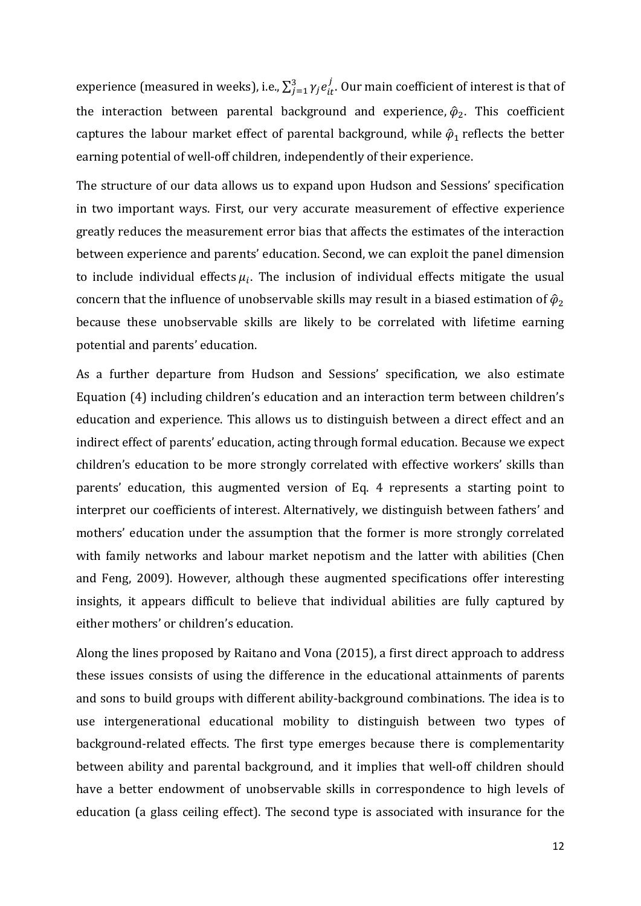experience (measured in weeks), i.e.,  $\sum_{j=1}^{3} \gamma_{j} e^{j}_{it}$ . Our main coefficient of interest is that of the interaction between parental background and experience,  $\hat{\varphi}_2$ . This coefficient captures the labour market effect of parental background, while  $\hat{\varphi}_1$  reflects the better earning potential of well-off children, independently of their experience.

The structure of our data allows us to expand upon Hudson and Sessions' specification in two important ways. First, our very accurate measurement of effective experience greatly reduces the measurement error bias that affects the estimates of the interaction between experience and parents' education. Second, we can exploit the panel dimension to include individual effects  $\mu_i$ . The inclusion of individual effects mitigate the usual concern that the influence of unobservable skills may result in a biased estimation of  $\hat{\varphi}_2$ because these unobservable skills are likely to be correlated with lifetime earning potential and parents' education.

As a further departure from Hudson and Sessions' specification, we also estimate Equation (4) including children's education and an interaction term between children's education and experience. This allows us to distinguish between a direct effect and an indirect effect of parents' education, acting through formal education. Because we expect children's education to be more strongly correlated with effective workers' skills than parents' education, this augmented version of Eq. 4 represents a starting point to interpret our coefficients of interest. Alternatively, we distinguish between fathers' and mothers' education under the assumption that the former is more strongly correlated with family networks and labour market nepotism and the latter with abilities (Chen and Feng, 2009). However, although these augmented specifications offer interesting insights, it appears difficult to believe that individual abilities are fully captured by either mothers' or children's education.

Along the lines proposed by Raitano and Vona (2015), a first direct approach to address these issues consists of using the difference in the educational attainments of parents and sons to build groups with different ability-background combinations. The idea is to use intergenerational educational mobility to distinguish between two types of background-related effects. The first type emerges because there is complementarity between ability and parental background, and it implies that well-off children should have a better endowment of unobservable skills in correspondence to high levels of education (a glass ceiling effect). The second type is associated with insurance for the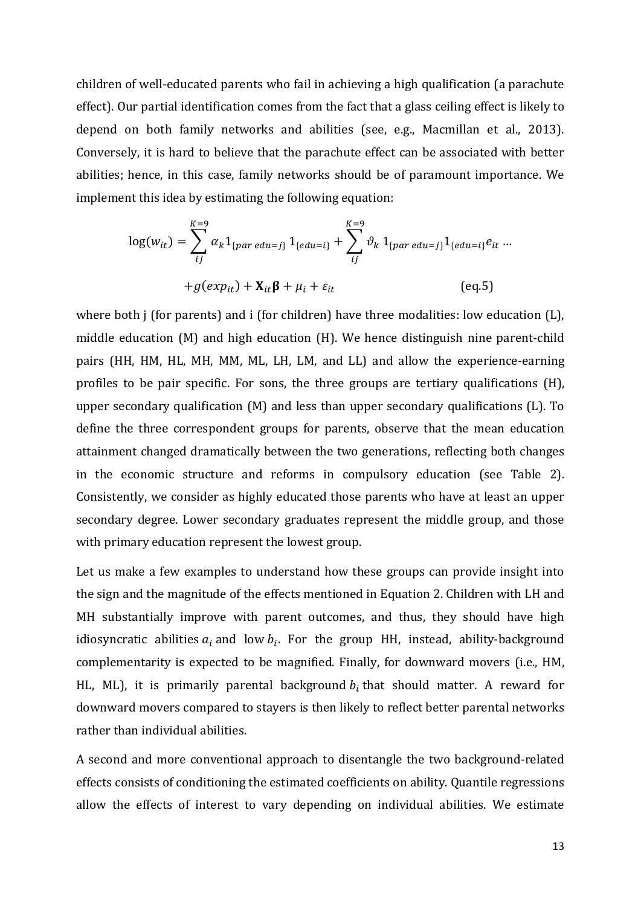children of well-educated parents who fail in achieving a high qualification (a parachute effect). Our partial identification comes from the fact that a glass ceiling effect is likely to depend on both family networks and abilities (see, e.g., Macmillan et al., 2013). Conversely, it is hard to believe that the parachute effect can be associated with better abilities; hence, in this case, family networks should be of paramount importance. We implement this idea by estimating the following equation:

$$
\log(w_{it}) = \sum_{ij}^{K=9} \alpha_k 1_{\{par \; edu=j\}} 1_{\{edu=i\}} + \sum_{ij}^{K=9} \vartheta_k 1_{\{par \; edu=j\}} 1_{\{edu=i\}} e_{it} ...
$$

$$
+ g(exp_{it}) + \mathbf{X}_{it} \mathbf{\beta} + \mu_i + \varepsilon_{it} \tag{eq.5}
$$

where both j (for parents) and i (for children) have three modalities: low education (L), middle education (M) and high education (H). We hence distinguish nine parent-child pairs (HH, HM, HL, MH, MM, ML, LH, LM, and LL) and allow the experience-earning profiles to be pair specific. For sons, the three groups are tertiary qualifications (H), upper secondary qualification (M) and less than upper secondary qualifications (L). To define the three correspondent groups for parents, observe that the mean education attainment changed dramatically between the two generations, reflecting both changes in the economic structure and reforms in compulsory education (see Table 2). Consistently, we consider as highly educated those parents who have at least an upper secondary degree. Lower secondary graduates represent the middle group, and those with primary education represent the lowest group.

Let us make a few examples to understand how these groups can provide insight into the sign and the magnitude of the effects mentioned in Equation 2. Children with LH and MH substantially improve with parent outcomes, and thus, they should have high idiosyncratic abilities  $a_i$  and low  $b_i$ . For the group HH, instead, ability-background complementarity is expected to be magnified. Finally, for downward movers (i.e., HM, HL, ML), it is primarily parental background  $b_i$  that should matter. A reward for downward movers compared to stayers is then likely to reflect better parental networks rather than individual abilities.

A second and more conventional approach to disentangle the two background-related effects consists of conditioning the estimated coefficients on ability. Quantile regressions allow the effects of interest to vary depending on individual abilities. We estimate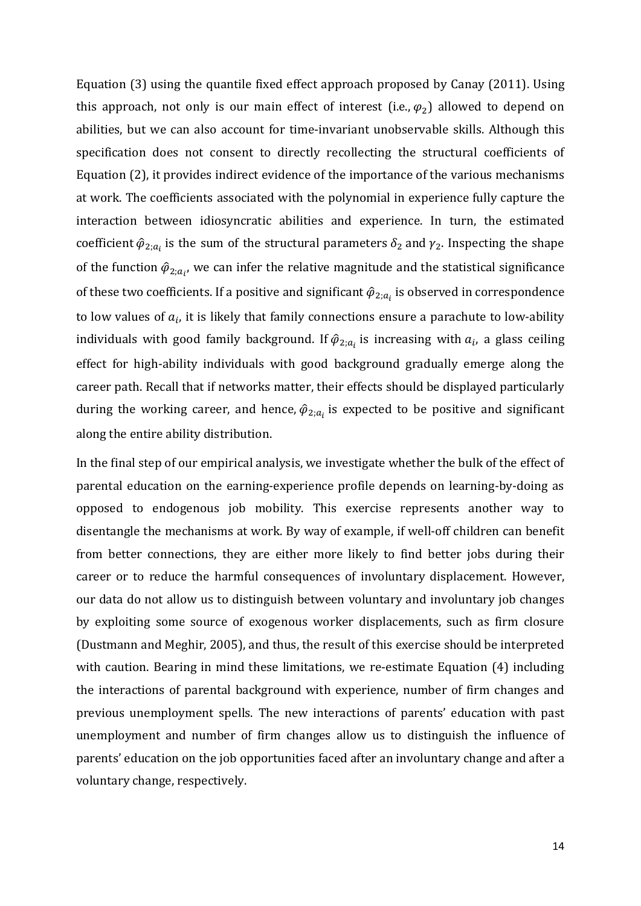Equation (3) using the quantile fixed effect approach proposed by Canay (2011). Using this approach, not only is our main effect of interest (i.e.,  $\varphi_2$ ) allowed to depend on abilities, but we can also account for time-invariant unobservable skills. Although this specification does not consent to directly recollecting the structural coefficients of Equation (2), it provides indirect evidence of the importance of the various mechanisms at work. The coefficients associated with the polynomial in experience fully capture the interaction between idiosyncratic abilities and experience. In turn, the estimated coefficient  $\hat{\varphi}_{2; a_i}$  is the sum of the structural parameters  $\delta_2$  and  $\gamma_2$ . Inspecting the shape of the function  $\hat{\varphi}_{2; a_{l'}}$  we can infer the relative magnitude and the statistical significance of these two coefficients. If a positive and significant  $\hat{\varphi}_{2; a_i}$  is observed in correspondence to low values of  $a_i$ , it is likely that family connections ensure a parachute to low-ability individuals with good family background. If  $\hat{\varphi}_{2; a_i}$  is increasing with  $a_i$ , a glass ceiling effect for high-ability individuals with good background gradually emerge along the career path. Recall that if networks matter, their effects should be displayed particularly during the working career, and hence,  $\hat{\varphi}_{2; a_i}$  is expected to be positive and significant along the entire ability distribution.

In the final step of our empirical analysis, we investigate whether the bulk of the effect of parental education on the earning-experience profile depends on learning-by-doing as opposed to endogenous job mobility. This exercise represents another way to disentangle the mechanisms at work. By way of example, if well-off children can benefit from better connections, they are either more likely to find better jobs during their career or to reduce the harmful consequences of involuntary displacement. However, our data do not allow us to distinguish between voluntary and involuntary job changes by exploiting some source of exogenous worker displacements, such as firm closure (Dustmann and Meghir, 2005), and thus, the result of this exercise should be interpreted with caution. Bearing in mind these limitations, we re-estimate Equation (4) including the interactions of parental background with experience, number of firm changes and previous unemployment spells. The new interactions of parents' education with past unemployment and number of firm changes allow us to distinguish the influence of parents' education on the job opportunities faced after an involuntary change and after a voluntary change, respectively.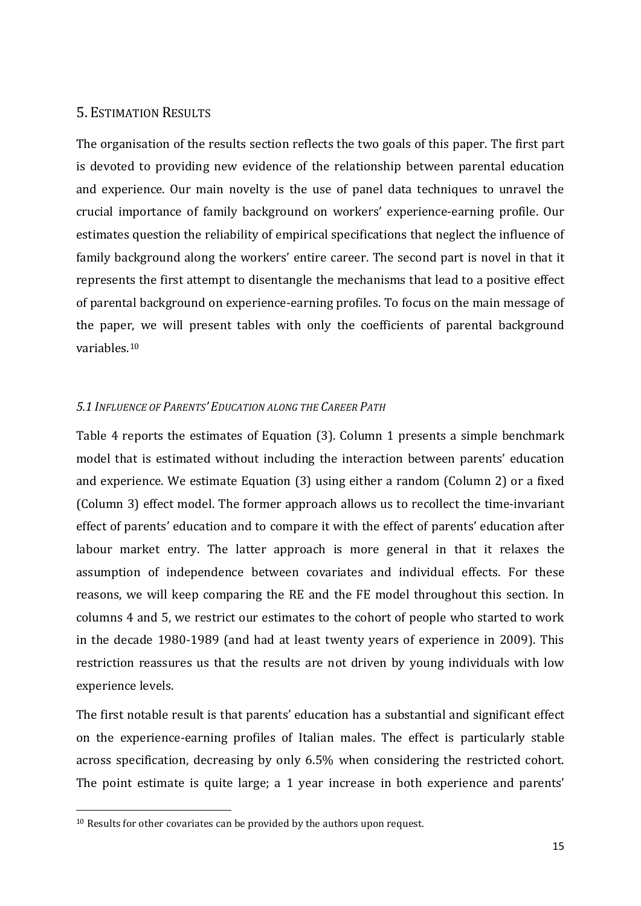#### 5. ESTIMATION RESULTS

The organisation of the results section reflects the two goals of this paper. The first part is devoted to providing new evidence of the relationship between parental education and experience. Our main novelty is the use of panel data techniques to unravel the crucial importance of family background on workers' experience-earning profile. Our estimates question the reliability of empirical specifications that neglect the influence of family background along the workers' entire career. The second part is novel in that it represents the first attempt to disentangle the mechanisms that lead to a positive effect of parental background on experience-earning profiles. To focus on the main message of the paper, we will present tables with only the coefficients of parental background variables.[10](#page-17-0)

#### *5.1 INFLUENCE OF PARENTS' EDUCATION ALONG THE CAREER PATH*

Table 4 reports the estimates of Equation (3). Column 1 presents a simple benchmark model that is estimated without including the interaction between parents' education and experience. We estimate Equation (3) using either a random (Column 2) or a fixed (Column 3) effect model. The former approach allows us to recollect the time-invariant effect of parents' education and to compare it with the effect of parents' education after labour market entry. The latter approach is more general in that it relaxes the assumption of independence between covariates and individual effects. For these reasons, we will keep comparing the RE and the FE model throughout this section. In columns 4 and 5, we restrict our estimates to the cohort of people who started to work in the decade 1980-1989 (and had at least twenty years of experience in 2009). This restriction reassures us that the results are not driven by young individuals with low experience levels.

The first notable result is that parents' education has a substantial and significant effect on the experience-earning profiles of Italian males. The effect is particularly stable across specification, decreasing by only 6.5% when considering the restricted cohort. The point estimate is quite large; a 1 year increase in both experience and parents'

<span id="page-17-0"></span><sup>&</sup>lt;sup>10</sup> Results for other covariates can be provided by the authors upon request.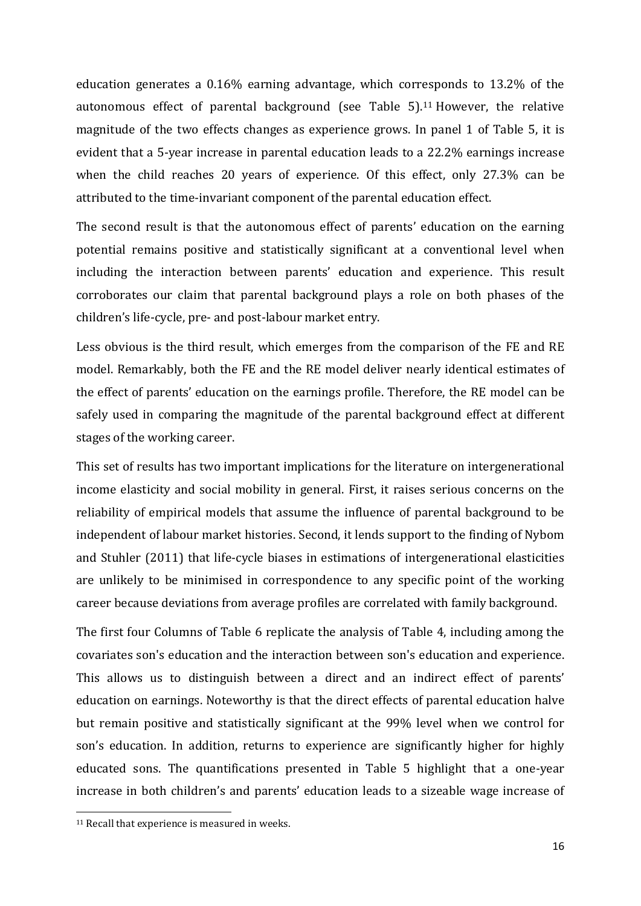education generates a 0.16% earning advantage, which corresponds to 13.2% of the autonomous effect of parental background (see Table  $5$ ).<sup>[11](#page-18-0)</sup> However, the relative magnitude of the two effects changes as experience grows. In panel 1 of Table 5, it is evident that a 5-year increase in parental education leads to a 22.2% earnings increase when the child reaches 20 years of experience. Of this effect, only 27.3% can be attributed to the time-invariant component of the parental education effect.

The second result is that the autonomous effect of parents' education on the earning potential remains positive and statistically significant at a conventional level when including the interaction between parents' education and experience. This result corroborates our claim that parental background plays a role on both phases of the children's life-cycle, pre- and post-labour market entry.

Less obvious is the third result, which emerges from the comparison of the FE and RE model. Remarkably, both the FE and the RE model deliver nearly identical estimates of the effect of parents' education on the earnings profile. Therefore, the RE model can be safely used in comparing the magnitude of the parental background effect at different stages of the working career.

This set of results has two important implications for the literature on intergenerational income elasticity and social mobility in general. First, it raises serious concerns on the reliability of empirical models that assume the influence of parental background to be independent of labour market histories. Second, it lends support to the finding of Nybom and Stuhler (2011) that life-cycle biases in estimations of intergenerational elasticities are unlikely to be minimised in correspondence to any specific point of the working career because deviations from average profiles are correlated with family background.

The first four Columns of Table 6 replicate the analysis of Table 4, including among the covariates son's education and the interaction between son's education and experience. This allows us to distinguish between a direct and an indirect effect of parents' education on earnings. Noteworthy is that the direct effects of parental education halve but remain positive and statistically significant at the 99% level when we control for son's education. In addition, returns to experience are significantly higher for highly educated sons. The quantifications presented in Table 5 highlight that a one-year increase in both children's and parents' education leads to a sizeable wage increase of

<span id="page-18-0"></span><sup>&</sup>lt;sup>11</sup> Recall that experience is measured in weeks.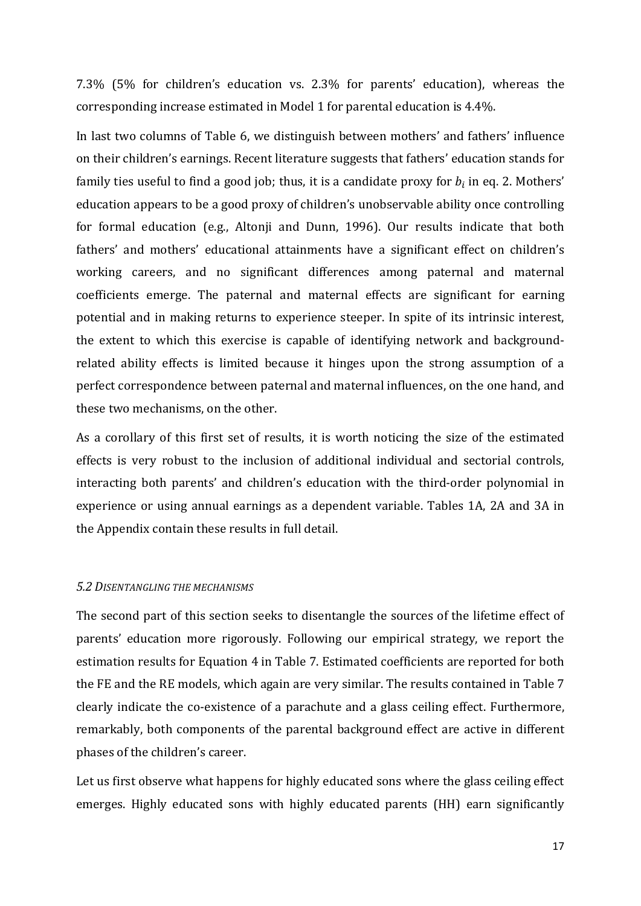7.3% (5% for children's education vs. 2.3% for parents' education), whereas the corresponding increase estimated in Model 1 for parental education is 4.4%.

In last two columns of Table 6, we distinguish between mothers' and fathers' influence on their children's earnings. Recent literature suggests that fathers' education stands for family ties useful to find a good job; thus, it is a candidate proxy for  $b_i$  in eq. 2. Mothers' education appears to be a good proxy of children's unobservable ability once controlling for formal education (e.g., Altonji and Dunn, 1996). Our results indicate that both fathers' and mothers' educational attainments have a significant effect on children's working careers, and no significant differences among paternal and maternal coefficients emerge. The paternal and maternal effects are significant for earning potential and in making returns to experience steeper. In spite of its intrinsic interest, the extent to which this exercise is capable of identifying network and backgroundrelated ability effects is limited because it hinges upon the strong assumption of a perfect correspondence between paternal and maternal influences, on the one hand, and these two mechanisms, on the other.

As a corollary of this first set of results, it is worth noticing the size of the estimated effects is very robust to the inclusion of additional individual and sectorial controls, interacting both parents' and children's education with the third-order polynomial in experience or using annual earnings as a dependent variable. Tables 1A, 2A and 3A in the Appendix contain these results in full detail.

#### *5.2 DISENTANGLING THE MECHANISMS*

The second part of this section seeks to disentangle the sources of the lifetime effect of parents' education more rigorously. Following our empirical strategy, we report the estimation results for Equation 4 in Table 7. Estimated coefficients are reported for both the FE and the RE models, which again are very similar. The results contained in Table 7 clearly indicate the co-existence of a parachute and a glass ceiling effect. Furthermore, remarkably, both components of the parental background effect are active in different phases of the children's career.

Let us first observe what happens for highly educated sons where the glass ceiling effect emerges. Highly educated sons with highly educated parents (HH) earn significantly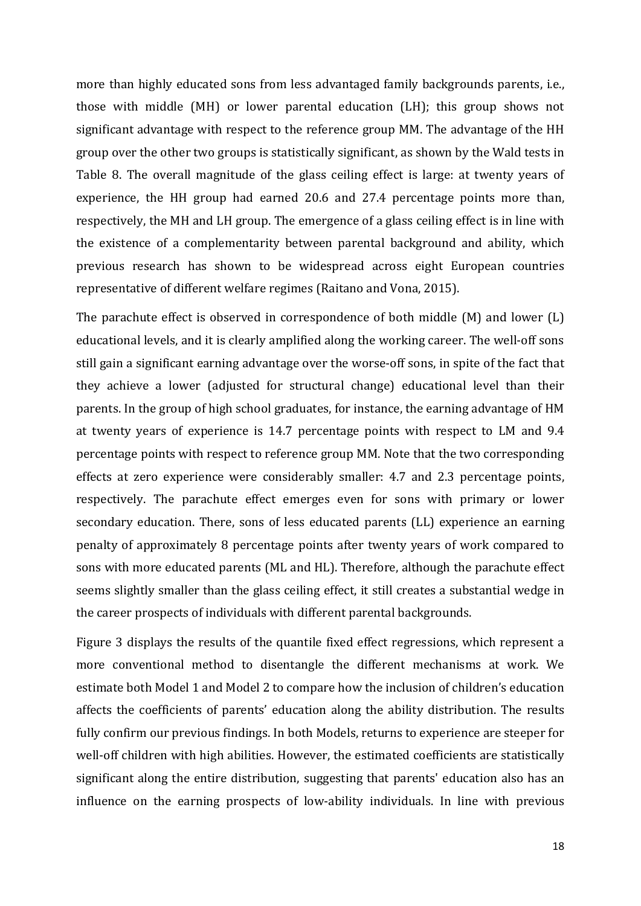more than highly educated sons from less advantaged family backgrounds parents, i.e., those with middle (MH) or lower parental education (LH); this group shows not significant advantage with respect to the reference group MM. The advantage of the HH group over the other two groups is statistically significant, as shown by the Wald tests in Table 8. The overall magnitude of the glass ceiling effect is large: at twenty years of experience, the HH group had earned 20.6 and 27.4 percentage points more than, respectively, the MH and LH group. The emergence of a glass ceiling effect is in line with the existence of a complementarity between parental background and ability, which previous research has shown to be widespread across eight European countries representative of different welfare regimes (Raitano and Vona, 2015).

The parachute effect is observed in correspondence of both middle (M) and lower (L) educational levels, and it is clearly amplified along the working career. The well-off sons still gain a significant earning advantage over the worse-off sons, in spite of the fact that they achieve a lower (adjusted for structural change) educational level than their parents. In the group of high school graduates, for instance, the earning advantage of HM at twenty years of experience is 14.7 percentage points with respect to LM and 9.4 percentage points with respect to reference group MM. Note that the two corresponding effects at zero experience were considerably smaller: 4.7 and 2.3 percentage points, respectively. The parachute effect emerges even for sons with primary or lower secondary education. There, sons of less educated parents (LL) experience an earning penalty of approximately 8 percentage points after twenty years of work compared to sons with more educated parents (ML and HL). Therefore, although the parachute effect seems slightly smaller than the glass ceiling effect, it still creates a substantial wedge in the career prospects of individuals with different parental backgrounds.

Figure 3 displays the results of the quantile fixed effect regressions, which represent a more conventional method to disentangle the different mechanisms at work. We estimate both Model 1 and Model 2 to compare how the inclusion of children's education affects the coefficients of parents' education along the ability distribution. The results fully confirm our previous findings. In both Models, returns to experience are steeper for well-off children with high abilities. However, the estimated coefficients are statistically significant along the entire distribution, suggesting that parents' education also has an influence on the earning prospects of low-ability individuals. In line with previous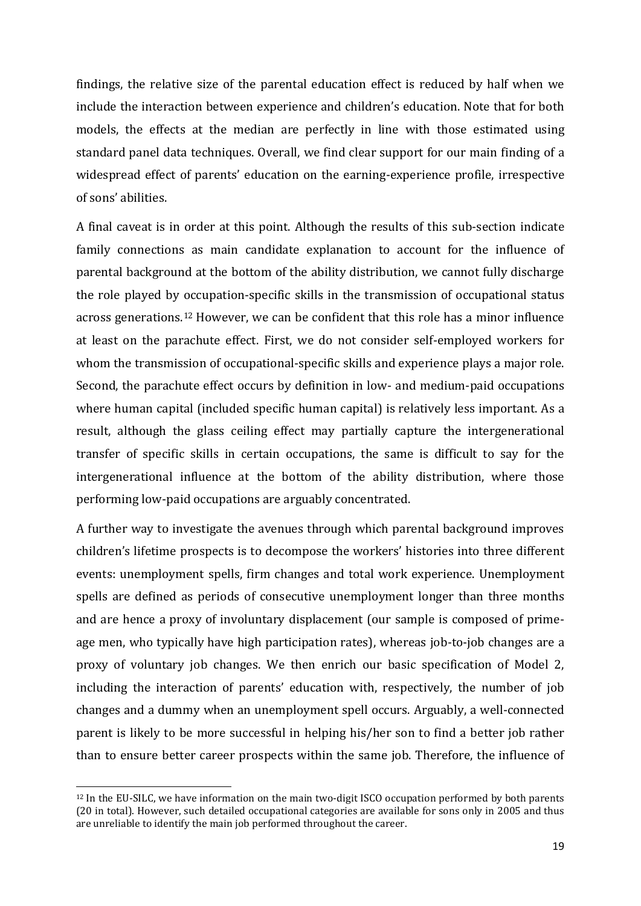findings, the relative size of the parental education effect is reduced by half when we include the interaction between experience and children's education. Note that for both models, the effects at the median are perfectly in line with those estimated using standard panel data techniques. Overall, we find clear support for our main finding of a widespread effect of parents' education on the earning-experience profile, irrespective of sons' abilities.

A final caveat is in order at this point. Although the results of this sub-section indicate family connections as main candidate explanation to account for the influence of parental background at the bottom of the ability distribution, we cannot fully discharge the role played by [oc](#page-21-0)cupation-specific skills in the transmission of occupational status across generations. <sup>12</sup> However, we can be confident that this role has a minor influence at least on the parachute effect. First, we do not consider self-employed workers for whom the transmission of occupational-specific skills and experience plays a major role. Second, the parachute effect occurs by definition in low- and medium-paid occupations where human capital (included specific human capital) is relatively less important. As a result, although the glass ceiling effect may partially capture the intergenerational transfer of specific skills in certain occupations, the same is difficult to say for the intergenerational influence at the bottom of the ability distribution, where those performing low-paid occupations are arguably concentrated.

A further way to investigate the avenues through which parental background improves children's lifetime prospects is to decompose the workers' histories into three different events: unemployment spells, firm changes and total work experience. Unemployment spells are defined as periods of consecutive unemployment longer than three months and are hence a proxy of involuntary displacement (our sample is composed of primeage men, who typically have high participation rates), whereas job-to-job changes are a proxy of voluntary job changes. We then enrich our basic specification of Model 2, including the interaction of parents' education with, respectively, the number of job changes and a dummy when an unemployment spell occurs. Arguably, a well-connected parent is likely to be more successful in helping his/her son to find a better job rather than to ensure better career prospects within the same job. Therefore, the influence of

<span id="page-21-0"></span> <sup>12</sup> In the EU-SILC, we have information on the main two-digit ISCO occupation performed by both parents (20 in total). However, such detailed occupational categories are available for sons only in 2005 and thus are unreliable to identify the main job performed throughout the career.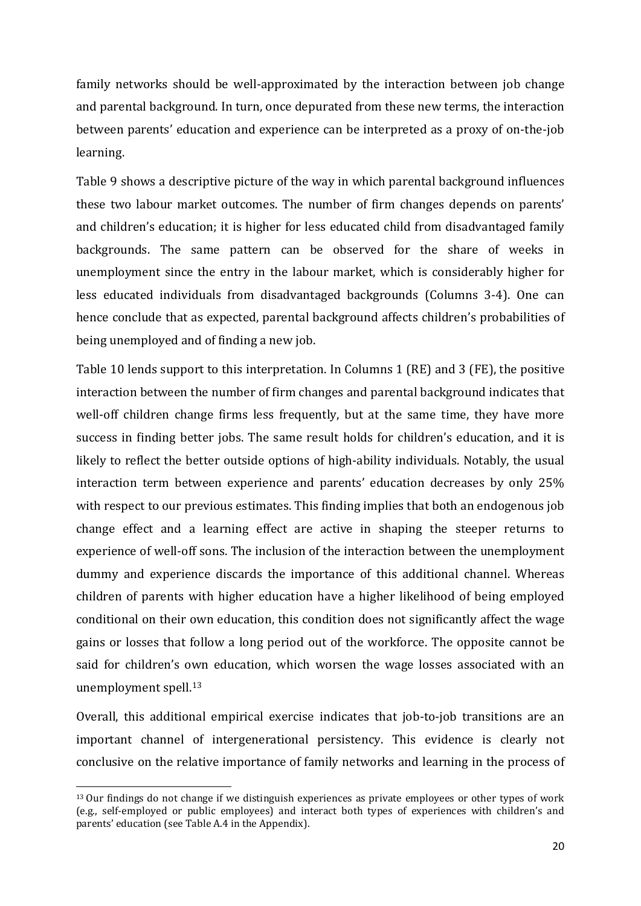family networks should be well-approximated by the interaction between job change and parental background. In turn, once depurated from these new terms, the interaction between parents' education and experience can be interpreted as a proxy of on-the-job learning.

Table 9 shows a descriptive picture of the way in which parental background influences these two labour market outcomes. The number of firm changes depends on parents' and children's education; it is higher for less educated child from disadvantaged family backgrounds. The same pattern can be observed for the share of weeks in unemployment since the entry in the labour market, which is considerably higher for less educated individuals from disadvantaged backgrounds (Columns 3-4). One can hence conclude that as expected, parental background affects children's probabilities of being unemployed and of finding a new job.

Table 10 lends support to this interpretation. In Columns 1 (RE) and 3 (FE), the positive interaction between the number of firm changes and parental background indicates that well-off children change firms less frequently, but at the same time, they have more success in finding better jobs. The same result holds for children's education, and it is likely to reflect the better outside options of high-ability individuals. Notably, the usual interaction term between experience and parents' education decreases by only 25% with respect to our previous estimates. This finding implies that both an endogenous job change effect and a learning effect are active in shaping the steeper returns to experience of well-off sons. The inclusion of the interaction between the unemployment dummy and experience discards the importance of this additional channel. Whereas children of parents with higher education have a higher likelihood of being employed conditional on their own education, this condition does not significantly affect the wage gains or losses that follow a long period out of the workforce. The opposite cannot be said for children's own education, which worsen the wage losses associated with an unemployment spell.[13](#page-22-0)

Overall, this additional empirical exercise indicates that job-to-job transitions are an important channel of intergenerational persistency. This evidence is clearly not conclusive on the relative importance of family networks and learning in the process of

<span id="page-22-0"></span> <sup>13</sup> Our findings do not change if we distinguish experiences as private employees or other types of work (e.g., self-employed or public employees) and interact both types of experiences with children's and parents' education (see Table A.4 in the Appendix).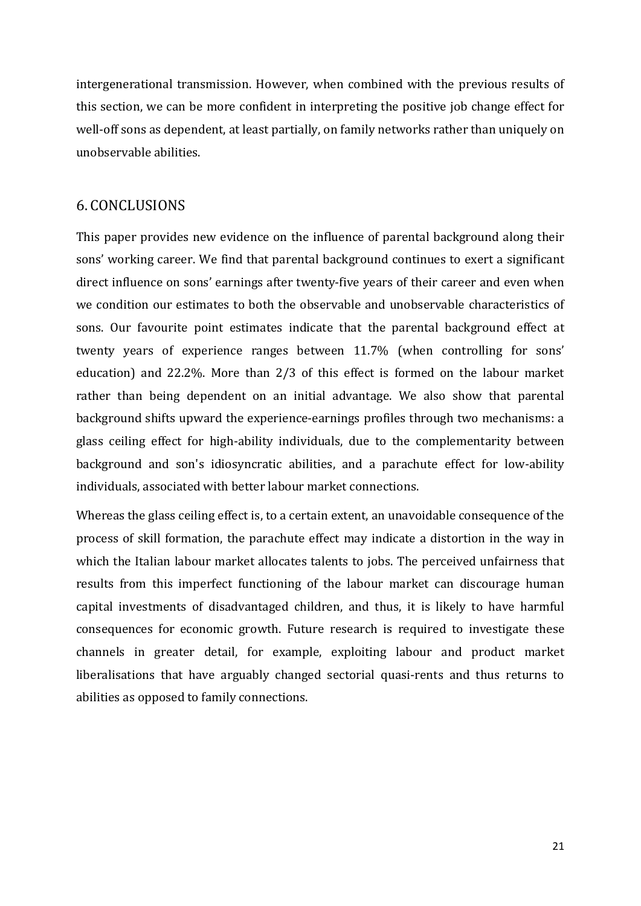intergenerational transmission. However, when combined with the previous results of this section, we can be more confident in interpreting the positive job change effect for well-off sons as dependent, at least partially, on family networks rather than uniquely on unobservable abilities.

#### 6. CONCLUSIONS

This paper provides new evidence on the influence of parental background along their sons' working career. We find that parental background continues to exert a significant direct influence on sons' earnings after twenty-five years of their career and even when we condition our estimates to both the observable and unobservable characteristics of sons. Our favourite point estimates indicate that the parental background effect at twenty years of experience ranges between 11.7% (when controlling for sons' education) and 22.2%. More than 2/3 of this effect is formed on the labour market rather than being dependent on an initial advantage. We also show that parental background shifts upward the experience-earnings profiles through two mechanisms: a glass ceiling effect for high-ability individuals, due to the complementarity between background and son's idiosyncratic abilities, and a parachute effect for low-ability individuals, associated with better labour market connections.

Whereas the glass ceiling effect is, to a certain extent, an unavoidable consequence of the process of skill formation, the parachute effect may indicate a distortion in the way in which the Italian labour market allocates talents to jobs. The perceived unfairness that results from this imperfect functioning of the labour market can discourage human capital investments of disadvantaged children, and thus, it is likely to have harmful consequences for economic growth. Future research is required to investigate these channels in greater detail, for example, exploiting labour and product market liberalisations that have arguably changed sectorial quasi-rents and thus returns to abilities as opposed to family connections.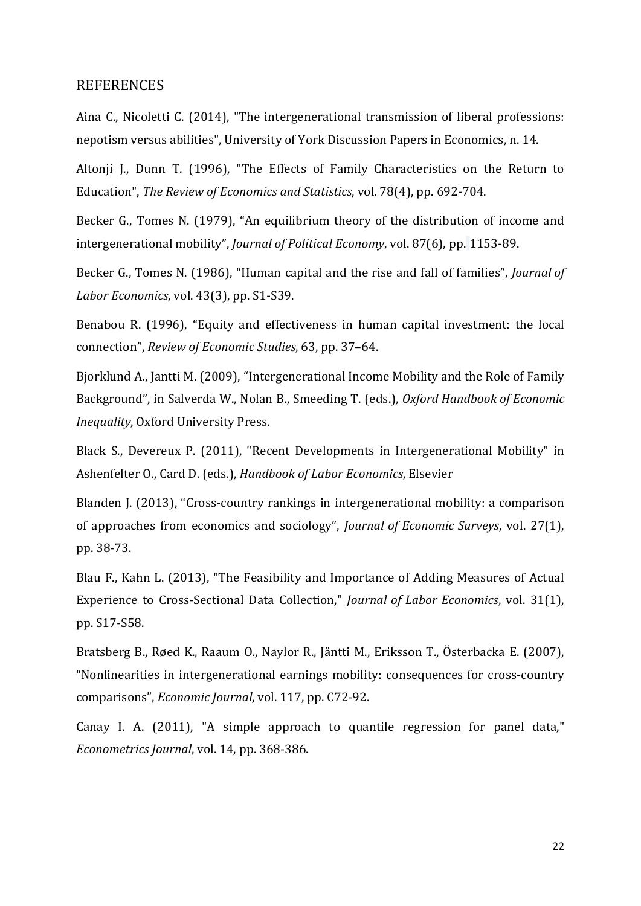#### **REFERENCES**

Aina C., Nicoletti C. (2014), "The intergenerational transmission of liberal professions: nepotism versus abilities", University of York Discussion Papers in Economics, n. 14.

Altonji J., Dunn T. (1996), "The Effects of Family Characteristics on the Return to Education", *The Review of Economics and Statistics*, vol. 78(4), pp. 692-704.

Becker G., Tomes N. (1979), "An equilibrium theory of the distribution of income and intergenerational mobility", *Journal of Political Economy*, vol. 87(6), pp. 1153-89.

Becker G., Tomes N. (1986), "Human capital and the rise and fall of families", *Journal of Labor Economics*, vol. 43(3), pp. S1-S39.

Benabou R. (1996), "Equity and effectiveness in human capital investment: the local connection", *Review of Economic Studies*, 63, pp. 37–64.

Bjorklund A., Jantti M. (2009), "Intergenerational Income Mobility and the Role of Family Background", in Salverda W., Nolan B., Smeeding T. (eds.), *Oxford Handbook of Economic Inequality*, Oxford University Press.

Black S., Devereux P. (2011), "Recent Developments in Intergenerational Mobility" in Ashenfelter O., Card D. (eds.), *Handbook of Labor Economics*, Elsevier

Blanden J. (2013), ["Cross-country rankings in intergenerational mobility: a comparison](http://ideas.repec.org/a/bla/jecsur/v27y2013i1p38-73.html)  [of approaches from economics and sociology"](http://ideas.repec.org/a/bla/jecsur/v27y2013i1p38-73.html), *[Journal of Economic Surveys](http://ideas.repec.org/s/bla/jecsur.html)*, vol. 27(1), pp. 38-73.

Blau F., Kahn L. (2013), "The Feasibility and Importance of Adding Measures of Actual Experience to Cross-Sectional Data Collection," *Journal of Labor Economics*, vol. 31(1), pp. S17-S58.

Bratsberg B., Røed K., Raaum O., Naylor R., Jäntti M., Eriksson T., Österbacka E. (2007), "Nonlinearities in intergenerational earnings mobility: consequences for cross-country comparisons", *Economic Journal*, vol. 117, pp. C72-92.

Canay I. A. (2011), "A simple approach to quantile regression for panel data," *Econometrics Journal*, vol. 14, pp. 368-386.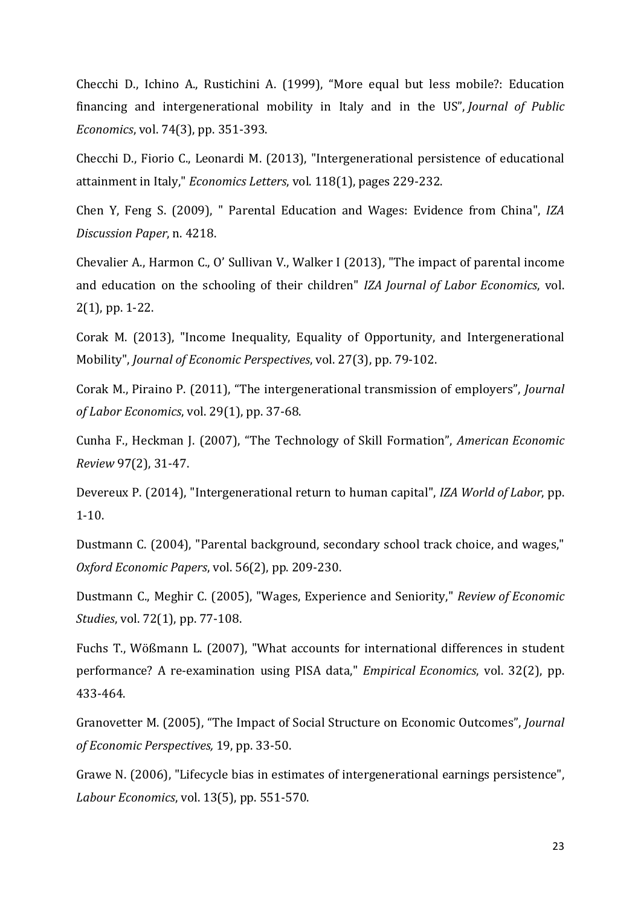Checchi D., Ichino A., Rustichini A. (1999), ["More equal but less mobile?: Education](http://ideas.repec.org/a/eee/pubeco/v74y1999i3p351-393.html)  [financing and intergenerational mobility in Italy and in the US"](http://ideas.repec.org/a/eee/pubeco/v74y1999i3p351-393.html), *[Journal of Public](http://ideas.repec.org/s/eee/pubeco.html)  [Economics](http://ideas.repec.org/s/eee/pubeco.html)*, vol. 74(3), pp. 351-393.

Checchi D., Fiorio C., Leonardi M. (2013), "Intergenerational persistence of educational attainment in Italy," *Economics Letters*, vol. 118(1), pages 229-232.

Chen Y, Feng S. (2009), " Parental Education and Wages: Evidence from China", *IZA Discussion Paper*, n. 4218.

Chevalier A., Harmon C., O' Sullivan V., Walker I (2013), "The impact of parental income and education on the schooling of their children" *IZA Journal of Labor Economics*, vol. 2(1), pp. 1-22.

Corak M. (2013), "Income Inequality, Equality of Opportunity, and Intergenerational Mobility", *Journal of Economic Perspectives*, vol. 27(3), pp. 79-102.

Corak M., Piraino P. (2011), "The intergenerational transmission of employers", *Journal of Labor Economics*, vol. 29(1), pp. 37-68.

Cunha F., Heckman J. (2007), "The Technology of Skill Formation", *American Economic Review* 97(2), 31-47.

Devereux P. (2014), "Intergenerational return to human capital", *IZA World of Labor*, pp. 1-10.

Dustmann C. (2004), "Parental background, secondary school track choice, and wages," *Oxford Economic Papers*, vol. 56(2), pp. 209-230.

Dustmann C., Meghir C. (2005), "Wages, Experience and Seniority," *Review of Economic Studies*, vol. 72(1), pp. 77-108.

Fuchs T., Wößmann L. (2007), "What accounts for international differences in student performance? A re-examination using PISA data," *Empirical Economics*, vol. 32(2), pp. 433-464.

Granovetter M. (2005), "The Impact of Social Structure on Economic Outcomes", *Journal of Economic Perspectives,* 19, pp. 33-50.

Grawe N. (2006), "Lifecycle bias in estimates of intergenerational earnings persistence", *Labour Economics*, vol. 13(5), pp. 551-570.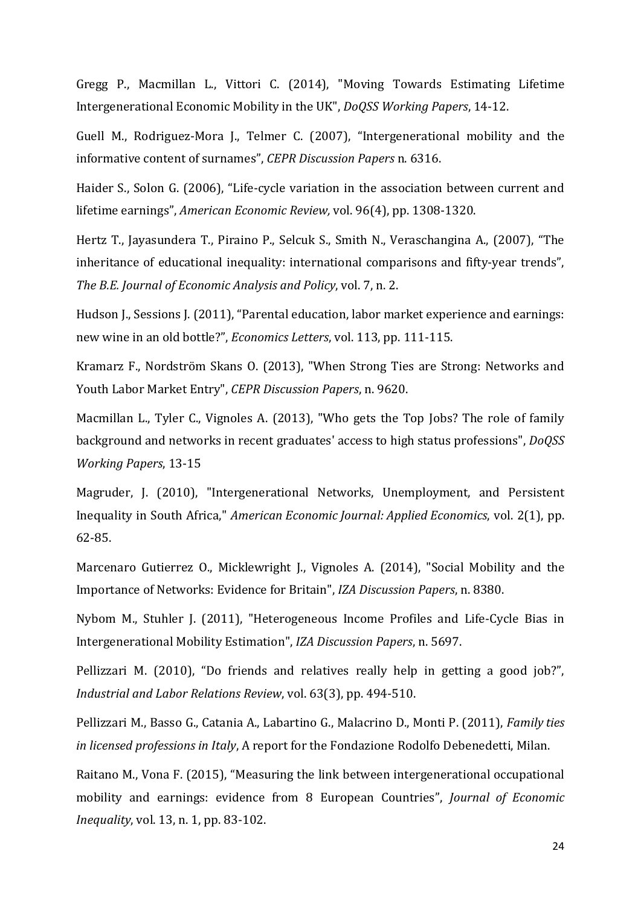Gregg P., Macmillan L., Vittori C. (2014), "Moving Towards Estimating Lifetime Intergenerational Economic Mobility in the UK", *DoQSS Working Papers*, 14-12.

Guell M., Rodriguez-Mora J., Telmer C. (2007), "Intergenerational mobility and the informative content of surnames", *CEPR Discussion Papers* n. 6316.

Haider S., Solon G. (2006), "Life-cycle variation in the association between current and lifetime earnings", *American Economic Review,* vol. 96(4), pp. 1308-1320.

Hertz T., Jayasundera T., Piraino P., Selcuk S., Smith N., Veraschangina A., (2007), "The inheritance of educational inequality: international comparisons and fifty-year trends", *The B.E. Journal of Economic Analysis and Policy*, vol. 7, n. 2.

Hudson J., Sessions J. (2011), "Parental education, labor market experience and earnings: new wine in an old bottle?", *Economics Letters*, vol. 113, pp. 111-115.

Kramarz F., Nordström Skans O. (2013), "When Strong Ties are Strong: Networks and Youth Labor Market Entry", *CEPR Discussion Papers*, n. 9620.

Macmillan L., Tyler C., Vignoles A. (2013), "Who gets the Top Jobs? The role of family background and networks in recent graduates' access to high status professions", *DoQSS Working Papers*, 13-15

Magruder, J. (2010), "Intergenerational Networks, Unemployment, and Persistent Inequality in South Africa," *American Economic Journal: Applied Economics*, vol. 2(1), pp. 62-85.

Marcenaro Gutierrez O., Micklewright J., Vignoles A. (2014), "Social Mobility and the Importance of Networks: Evidence for Britain", *IZA Discussion Papers*, n. 8380.

Nybom M., Stuhler J. (2011), "Heterogeneous Income Profiles and Life-Cycle Bias in Intergenerational Mobility Estimation", *IZA Discussion Papers*, n. 5697.

Pellizzari M. (2010), ["Do friends and relatives really help in getting a good job?"](http://ideas.repec.org/a/ilr/articl/v63y2010i3p494-510.html), *[Industrial and Labor Relations Review](http://ideas.repec.org/s/ilr/articl.html)*, vol. 63(3), pp. 494-510.

Pellizzari M., Basso G., Catania A., Labartino G., Malacrino D., Monti P. (2011), *Family ties in licensed professions in Italy*, A report for the Fondazione Rodolfo Debenedetti, Milan.

Raitano M., Vona F. (2015), "Measuring the link between intergenerational occupational mobility and earnings: evidence from 8 European Countries", *Journal of Economic Inequality*, vol. 13, n. 1, pp. 83-102.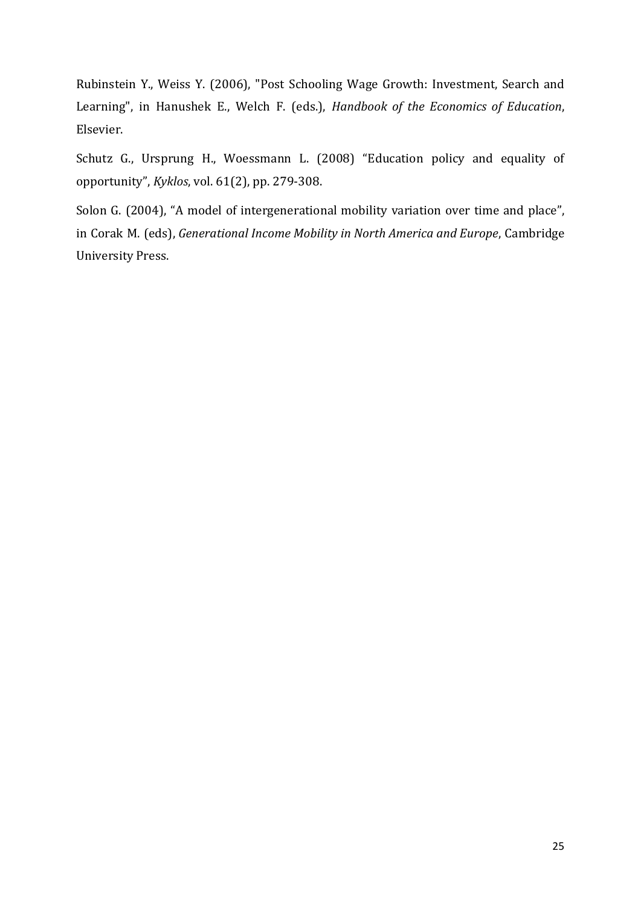Rubinstein Y., Weiss Y. (2006), "Post Schooling Wage Growth: Investment, Search and Learning", in Hanushek E., Welch F. (eds.), *Handbook of the Economics of Education*, Elsevier.

Schutz G., Ursprung H., Woessmann L. (2008) ["Education policy and equality of](http://ideas.repec.org/a/bla/kyklos/v61y2008i2p279-308.html)  [opportunity"](http://ideas.repec.org/a/bla/kyklos/v61y2008i2p279-308.html), *[Kyklos](http://ideas.repec.org/s/bla/kyklos.html)*, vol. 61(2), pp. 279-308.

Solon G. (2004), "A model of intergenerational mobility variation over time and place", in Corak M. (eds), *Generational Income Mobility in North America and Europe*, Cambridge University Press.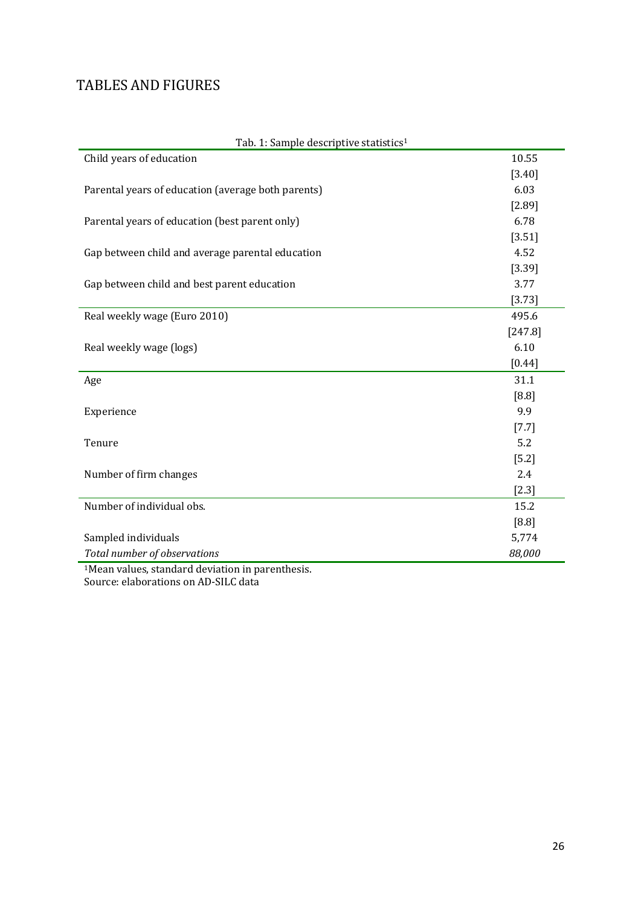## TABLES AND FIGURES

| Tab. 1: Sample descriptive statistics <sup>1</sup> |          |
|----------------------------------------------------|----------|
| Child years of education                           | 10.55    |
|                                                    | [3.40]   |
| Parental years of education (average both parents) | 6.03     |
|                                                    | [2.89]   |
| Parental years of education (best parent only)     | 6.78     |
|                                                    | [3.51]   |
| Gap between child and average parental education   | 4.52     |
|                                                    | [3.39]   |
| Gap between child and best parent education        | 3.77     |
|                                                    | [3.73]   |
| Real weekly wage (Euro 2010)                       | 495.6    |
|                                                    | [247.8]  |
| Real weekly wage (logs)                            | 6.10     |
|                                                    | $[0.44]$ |
| Age                                                | 31.1     |
|                                                    | [8.8]    |
| Experience                                         | 9.9      |
|                                                    | $[7.7]$  |
| Tenure                                             | 5.2      |
|                                                    | $[5.2]$  |
| Number of firm changes                             | 2.4      |
|                                                    | $[2.3]$  |
| Number of individual obs.                          | 15.2     |
|                                                    | $[8.8]$  |
| Sampled individuals                                | 5,774    |
| Total number of observations                       | 88,000   |
| Ween volved atop deviation in nevertheorie         |          |

Tab. 1: Sample descriptive statistics1

1Mean values, standard deviation in parenthesis. Source: elaborations on AD-SILC data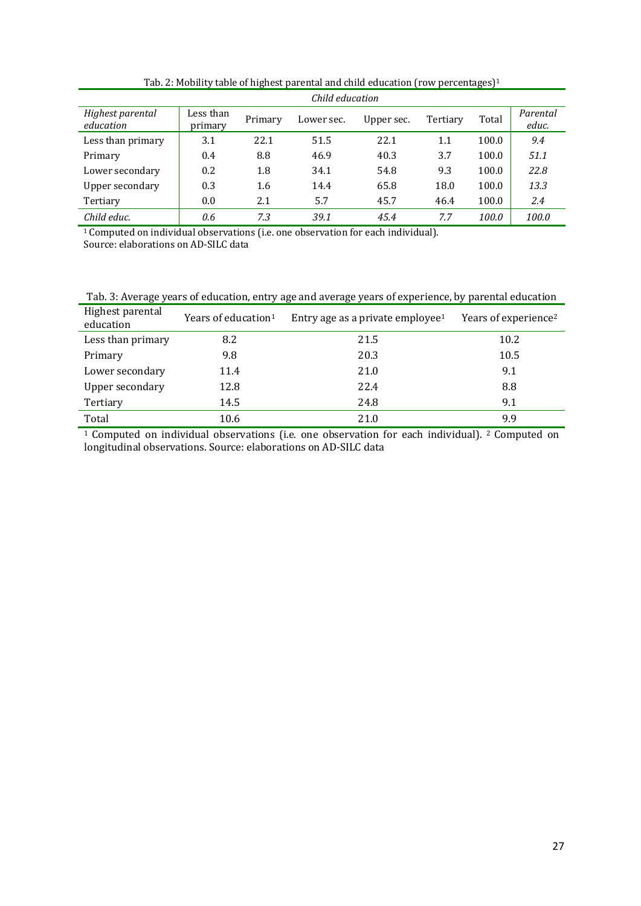|                               | Child education      |         |            |            |          |       |                   |  |
|-------------------------------|----------------------|---------|------------|------------|----------|-------|-------------------|--|
| Highest parental<br>education | Less than<br>primary | Primary | Lower sec. | Upper sec. | Tertiary | Total | Parental<br>educ. |  |
| Less than primary             | 3.1                  | 22.1    | 51.5       | 22.1       | 1.1      | 100.0 | 9.4               |  |
| Primary                       | 0.4                  | 8.8     | 46.9       | 40.3       | 3.7      | 100.0 | 51.1              |  |
| Lower secondary               | 0.2                  | 1.8     | 34.1       | 54.8       | 9.3      | 100.0 | 22.8              |  |
| Upper secondary               | 0.3                  | 1.6     | 14.4       | 65.8       | 18.0     | 100.0 | 13.3              |  |
| Tertiary                      | 0.0                  | 2.1     | 5.7        | 45.7       | 46.4     | 100.0 | 2.4               |  |
| Child educ.                   | 0.6                  | 7.3     | 39.1       | 45.4       | 7.7      | 100.0 | 100.0             |  |

Tab. 2: Mobility table of highest parental and child education (row percentages)<sup>1</sup>

<sup>1</sup> Computed on individual observations (i.e. one observation for each individual). Source: elaborations on AD-SILC data

| Tab. 3: Average years of education, entry age and average years of experience, by parental education |  |  |
|------------------------------------------------------------------------------------------------------|--|--|
|                                                                                                      |  |  |

| Highest parental<br>education | Years of education <sup>1</sup> | Entry age as a private employee <sup>1</sup> | Years of experience <sup>2</sup> |
|-------------------------------|---------------------------------|----------------------------------------------|----------------------------------|
| Less than primary             | 8.2                             | 21.5                                         | 10.2                             |
| Primary                       | 9.8                             | 20.3                                         | 10.5                             |
| Lower secondary               | 11.4                            | 21.0                                         | 9.1                              |
| Upper secondary               | 12.8                            | 22.4                                         | 8.8                              |
| Tertiary                      | 14.5                            | 24.8                                         | 9.1                              |
| Total                         | 10.6                            | 21.0                                         | 9.9                              |

<sup>1</sup> Computed on individual observations (i.e. one observation for each individual). <sup>2</sup> Computed on longitudinal observations. Source: elaborations on AD-SILC data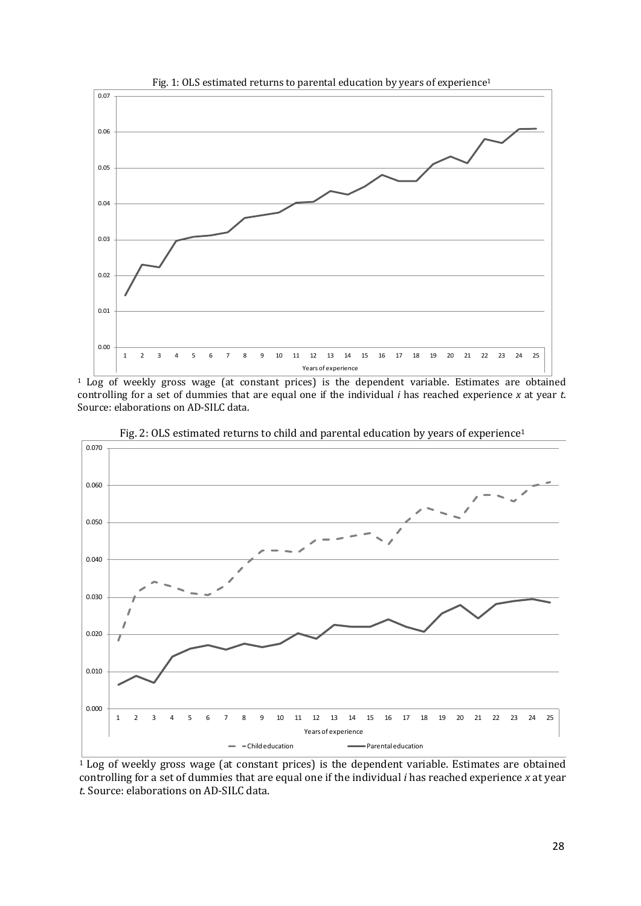

<sup>1</sup> Log of weekly gross wage (at constant prices) is the dependent variable. Estimates are obtained controlling for a set of dummies that are equal one if the individual *i* has reached experience *x* at year *t*. Source: elaborations on AD-SILC data.



Fig. 2: OLS estimated returns to child and parental education by years of experience<sup>1</sup>

<sup>1</sup> Log of weekly gross wage (at constant prices) is the dependent variable. Estimates are obtained controlling for a set of dummies that are equal one if the individual *i* has reached experience *x* at year *t*. Source: elaborations on AD-SILC data.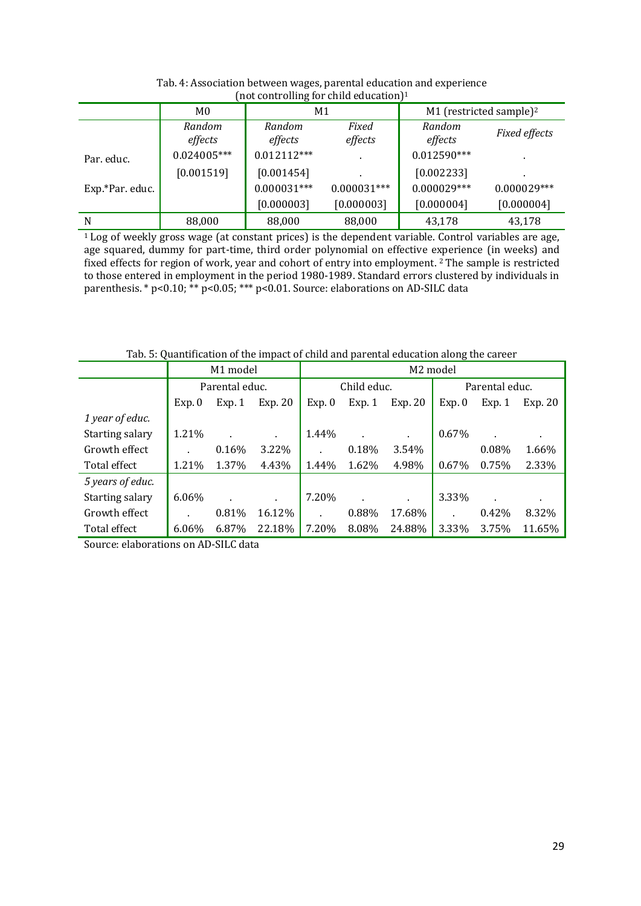| not controlling for child cuttuation |                   |                   |                          |                                     |                |  |  |
|--------------------------------------|-------------------|-------------------|--------------------------|-------------------------------------|----------------|--|--|
|                                      | M <sub>0</sub>    | M1                |                          | M1 (restricted sample) <sup>2</sup> |                |  |  |
|                                      | Random<br>effects | Random<br>effects | Fixed<br>effects         | Random<br>effects                   | Fixed effects  |  |  |
| Par. educ.                           | $0.024005***$     | $0.012112***$     | $\blacksquare$           | $0.012590***$                       | $\blacksquare$ |  |  |
|                                      | [0.001519]        | [0.001454]        | $\overline{\phantom{a}}$ | [0.002233]                          |                |  |  |
| Exp.*Par. educ.                      |                   | $0.000031***$     | $0.000031***$            | $0.000029***$                       | $0.000029***$  |  |  |
|                                      |                   | [0.000003]        | [0.000003]               | [0.000004]                          | [0.000004]     |  |  |
| N                                    | 88,000            | 88,000            | 88,000                   | 43,178                              | 43,178         |  |  |

Tab. 4: Association between wages, parental education and experience (not controlling for child education)1

 $1$  Log of weekly gross wage (at constant prices) is the dependent variable. Control variables are age, age squared, dummy for part-time, third order polynomial on effective experience (in weeks) and fixed effects for region of work, year and cohort of entry into employment. 2 The sample is restricted to those entered in employment in the period 1980-1989. Standard errors clustered by individuals in parenthesis. \*  $p < 0.10$ ; \*\*  $p < 0.05$ ; \*\*\*  $p < 0.01$ . Source: elaborations on AD-SILC data

|                  | M1 model |                |                | M2 model    |        |           |                |       |         |
|------------------|----------|----------------|----------------|-------------|--------|-----------|----------------|-------|---------|
|                  |          | Parental educ. |                | Child educ. |        |           | Parental educ. |       |         |
|                  | Exp. 0   | Exp. 1         | Exp. 20        | Exp. 0      | Exp. 1 | Exp. 20   | Exp. 0         | Exp.1 | Exp. 20 |
| 1 year of educ.  |          |                |                |             |        |           |                |       |         |
| Starting salary  | 1.21%    |                | $\blacksquare$ | 1.44%       |        | $\bullet$ | 0.67%          |       |         |
| Growth effect    |          | 0.16%          | 3.22%          |             | 0.18%  | 3.54%     |                | 0.08% | 1.66%   |
| Total effect     | 1.21%    | 1.37%          | 4.43%          | 1.44%       | 1.62%  | 4.98%     | 0.67%          | 0.75% | 2.33%   |
| 5 years of educ. |          |                |                |             |        |           |                |       |         |
| Starting salary  | $6.06\%$ |                | ٠.             | 7.20%       |        | $\bullet$ | 3.33%          |       |         |
| Growth effect    |          | 0.81%          | 16.12%         |             | 0.88%  | 17.68%    |                | 0.42% | 8.32%   |
| Total effect     | 6.06%    | 6.87%          | 22.18%         | 7.20%       | 8.08%  | 24.88%    | 3.33%          | 3.75% | 11.65%  |

Tab. 5: Quantification of the impact of child and parental education along the career

Source: elaborations on AD-SILC data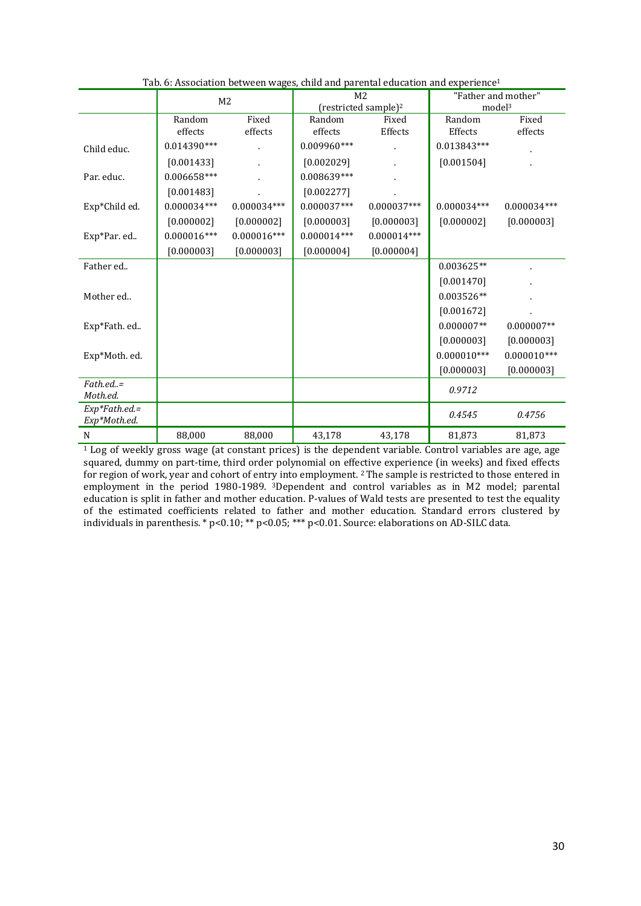|                                  | M <sub>2</sub> |               |               | M <sub>2</sub>                   | "Father and mother"<br>model <sup>3</sup> |               |
|----------------------------------|----------------|---------------|---------------|----------------------------------|-------------------------------------------|---------------|
|                                  |                |               |               | (restricted sample) <sup>2</sup> |                                           |               |
|                                  | Random         | Fixed         | Random        | Fixed                            | Random                                    | Fixed         |
|                                  | effects        | effects       | effects       | Effects                          | Effects                                   | effects       |
| Child educ.                      | $0.014390***$  |               | $0.009960***$ |                                  | $0.013843***$                             |               |
|                                  | [0.001433]     |               | [0.002029]    |                                  | [0.001504]                                |               |
| Par. educ.                       | 0.006658***    |               | 0.008639***   |                                  |                                           |               |
|                                  | [0.001483]     |               | [0.002277]    |                                  |                                           |               |
| Exp*Child ed.                    | $0.000034***$  | $0.000034***$ | $0.000037***$ | $0.000037***$                    | $0.000034***$                             | $0.000034***$ |
|                                  | [0.000002]     | [0.000002]    | [0.000003]    | [0.000003]                       | [0.000002]                                | [0.000003]    |
| Exp*Par. ed                      | $0.000016***$  | $0.000016***$ | $0.000014***$ | $0.000014***$                    |                                           |               |
|                                  | [0.000003]     | [0.000003]    | [0.000004]    | [0.000004]                       |                                           |               |
| Father ed                        |                |               |               |                                  | 0.003625**                                |               |
|                                  |                |               |               |                                  | [0.001470]                                |               |
| Mother ed                        |                |               |               |                                  | $0.003526**$                              |               |
|                                  |                |               |               |                                  | [0.001672]                                |               |
| Exp*Fath. ed                     |                |               |               |                                  | $0.000007**$                              | $0.000007**$  |
|                                  |                |               |               |                                  | [0.000003]                                | [0.000003]    |
| Exp*Moth. ed.                    |                |               |               |                                  | $0.000010***$                             | $0.000010***$ |
|                                  |                |               |               |                                  | [0.000003]                                | [0.000003]    |
| Father.<br>Moth.ed.              |                |               |               |                                  | 0.9712                                    |               |
| $Exp*Fath.edu =$<br>Exp*Moth.ed. |                |               |               |                                  | 0.4545                                    | 0.4756        |
| N                                | 88,000         | 88,000        | 43,178        | 43,178                           | 81,873                                    | 81,873        |

Tab. 6: Association between wages, child and parental education and experience1

<sup>1</sup> Log of weekly gross wage (at constant prices) is the dependent variable. Control variables are age, age squared, dummy on part-time, third order polynomial on effective experience (in weeks) and fixed effects for region of work, year and cohort of entry into employment. 2 The sample is restricted to those entered in employment in the period 1980-1989. 3Dependent and control variables as in M2 model; parental education is split in father and mother education. P-values of Wald tests are presented to test the equality of the estimated coefficients related to father and mother education. Standard errors clustered by individuals in parenthesis. \* p<0.10; \*\* p<0.05; \*\*\* p<0.01. Source: elaborations on AD-SILC data.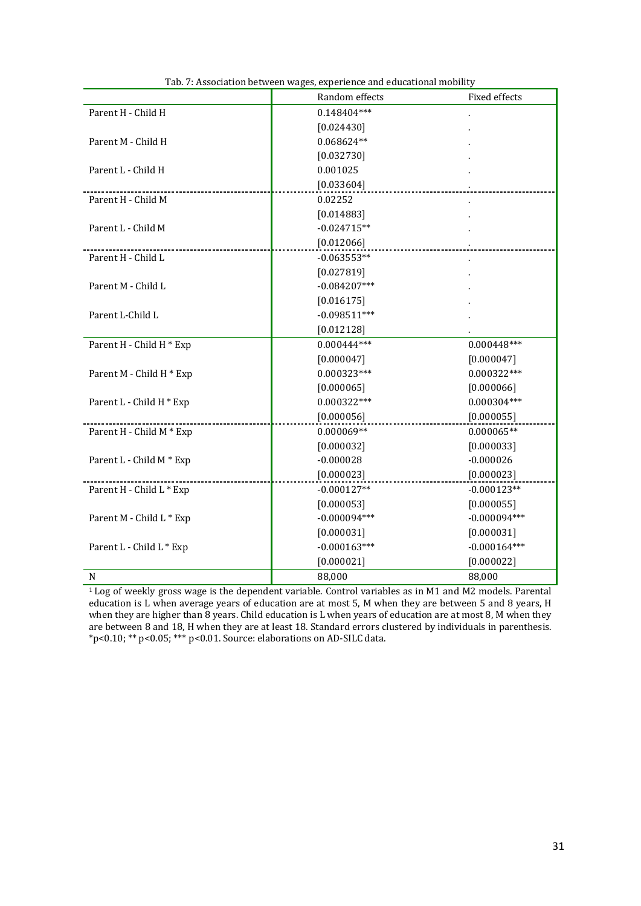|                          | Random effects | Fixed effects  |
|--------------------------|----------------|----------------|
| Parent H - Child H       | $0.148404***$  |                |
|                          | [0.024430]     |                |
| Parent M - Child H       | $0.068624**$   |                |
|                          | [0.032730]     |                |
| Parent L - Child H       | 0.001025       |                |
|                          | [0.033604]     |                |
| Parent H - Child M       | 0.02252        |                |
|                          | [0.014883]     |                |
| Parent L - Child M       | $-0.024715**$  |                |
|                          | [0.012066]     |                |
| Parent H - Child L       | $-0.063553**$  |                |
|                          | [0.027819]     |                |
| Parent M - Child L       | $-0.084207***$ |                |
|                          | [0.016175]     |                |
| Parent L-Child L         | $-0.098511***$ |                |
|                          | [0.012128]     |                |
| Parent H - Child H * Exp | $0.000444***$  | $0.000448***$  |
|                          | [0.000047]     | [0.000047]     |
| Parent M - Child H * Exp | $0.000323***$  | $0.000322***$  |
|                          | [0.000065]     | [0.000066]     |
| Parent L - Child H * Exp | $0.000322***$  | $0.000304***$  |
|                          | [0.000056]     | [0.000055]     |
| Parent H - Child M * Exp | $0.000069**$   | $0.000065**$   |
|                          | [0.000032]     | [0.000033]     |
| Parent L - Child M * Exp | $-0.000028$    | $-0.000026$    |
|                          | [0.000023]     | [0.000023]     |
| Parent H - Child L * Exp | $-0.000127**$  | $-0.000123**$  |
|                          | [0.000053]     | [0.000055]     |
| Parent M - Child L * Exp | $-0.000094***$ | $-0.000094***$ |
|                          | [0.000031]     | [0.000031]     |
| Parent L - Child L * Exp | $-0.000163***$ | $-0.000164***$ |
|                          | [0.000021]     | [0.000022]     |
| N                        | 88,000         | 88,000         |

| Tab. 7: Association between wages, experience and educational mobility |  |
|------------------------------------------------------------------------|--|
|                                                                        |  |

1 Log of weekly gross wage is the dependent variable. Control variables as in M1 and M2 models. Parental education is L when average years of education are at most 5, M when they are between 5 and 8 years, H when they are higher than 8 years. Child education is L when years of education are at most 8, M when they are between 8 and 18, H when they are at least 18. Standard errors clustered by individuals in parenthesis. \*p<0.10; \*\* p<0.05; \*\*\* p<0.01. Source: elaborations on AD-SILC data.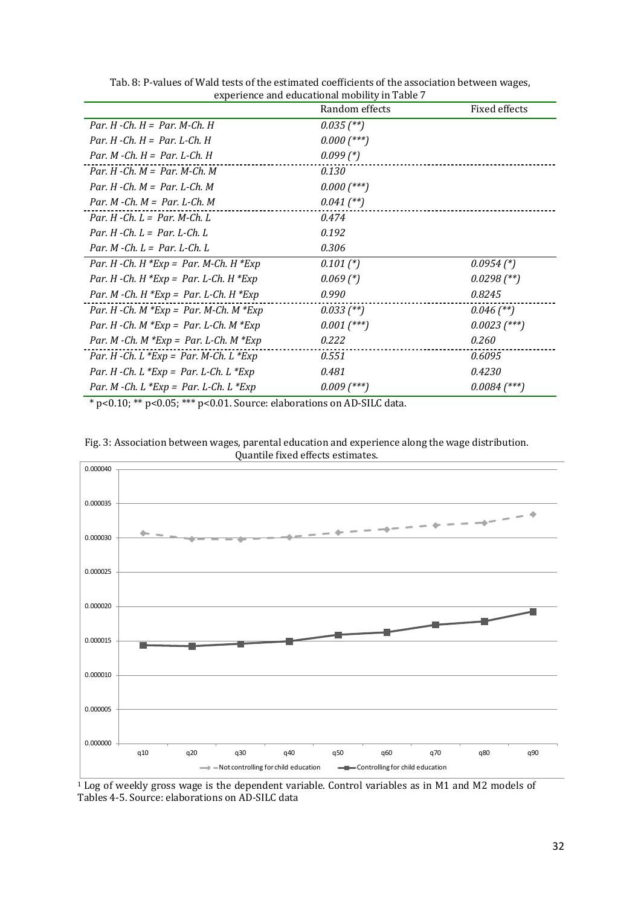|                                             | Random effects | Fixed effects  |
|---------------------------------------------|----------------|----------------|
| Par. $H$ -Ch. $H = Par$ . M-Ch. $H$         | $0.035$ (**)   |                |
| Par. H -Ch. $H = Par. L$ -Ch. H             | $0.000$ (***)  |                |
| Par. M -Ch. $H = Par$ . L-Ch. H             | $0.099$ $(*)$  |                |
| Par. H -Ch. $M = Par$ . M-Ch. M             | 0.130          |                |
| Par. H -Ch. $M = Par$ . L-Ch. M             | $0.000$ (***)  |                |
| Par. M -Ch. $M = Par. L$ -Ch. M             | $0.041$ (**)   |                |
| Par. H -Ch. $L = Par$ . M-Ch. L             | 0.474          |                |
| Par. H -Ch. $L = Par$ . L -Ch. L            | 0.192          |                |
| Par $M$ -Ch $L = Par$ L-Ch L                | 0.306          |                |
| Par. H -Ch. H $*Exp = Par$ . M-Ch. H $*Exp$ | $0.101$ $(*)$  | $0.0954$ (*)   |
| Par. H -Ch. H $*Exp = Par. L$ -Ch. H $*Exp$ | $0.069$ (*)    | $0.0298$ (**)  |
| Par. M -Ch. H $*Exp = Par$ . L-Ch. H $*Exp$ | 0.990          | 0.8245         |
| Par. H -Ch. M $*Exp = Par$ . M-Ch. M $*Exp$ | $0.033$ (**)   | $0.046$ (**)   |
| Par. H -Ch. M $*Exp = Par$ . L-Ch. M $*Exp$ | $0.001$ (***)  | $0.0023$ (***) |
| Par. M -Ch. M $*Exp = Par$ . L-Ch. M $*Exp$ | 0.222          | 0.260          |
| Par. H -Ch. L $*Exp = Par$ . M-Ch. L $*Exp$ | 0.551          | 0.6095         |
| Par. H -Ch. L $*Exp = Par$ . L-Ch. L $*Exp$ | 0.481          | 0.4230         |
| Par. M -Ch. L $*Exp = Par$ . L-Ch. L $*Exp$ | $0.009$ (***)  | $0.0084$ (***) |

Tab. 8: P-values of Wald tests of the estimated coefficients of the association between wages, experience and educational mobility in Table 7

\* p<0.10; \*\* p<0.05; \*\*\* p<0.01. Source: elaborations on AD-SILC data.





1 Log of weekly gross wage is the dependent variable. Control variables as in M1 and M2 models of Tables 4-5. Source: elaborations on AD-SILC data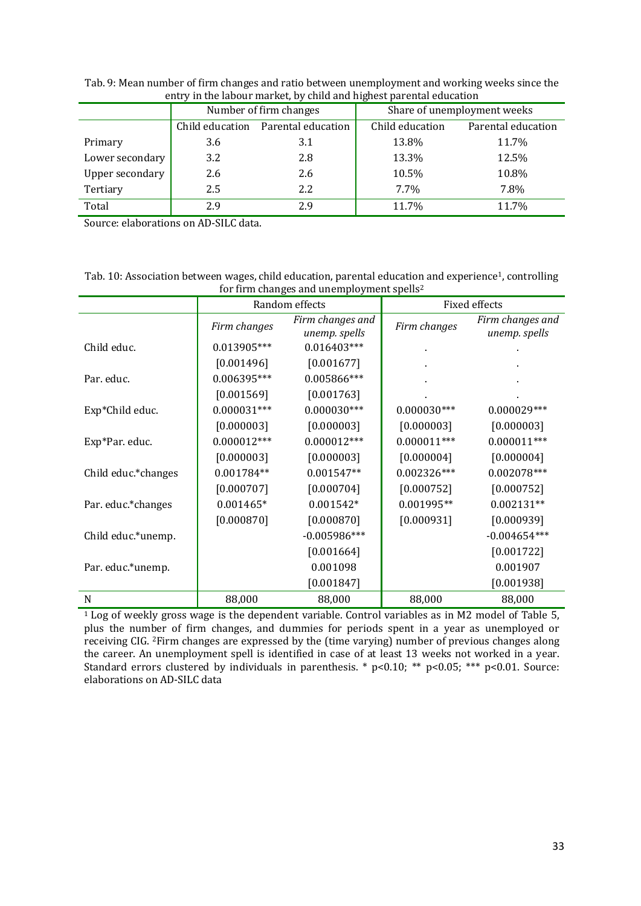| Chti y in the labour market, by child and inghest parental cuucation |                 |                        |                             |                    |  |  |  |  |
|----------------------------------------------------------------------|-----------------|------------------------|-----------------------------|--------------------|--|--|--|--|
|                                                                      |                 | Number of firm changes | Share of unemployment weeks |                    |  |  |  |  |
|                                                                      | Child education | Parental education     | Child education             | Parental education |  |  |  |  |
| Primary                                                              | 3.6             | 3.1                    | 13.8%                       | 11.7%              |  |  |  |  |
| Lower secondary                                                      | 3.2             | 2.8                    | 13.3%                       | 12.5%              |  |  |  |  |
| Upper secondary                                                      | 2.6             | 2.6                    | 10.5%                       | 10.8%              |  |  |  |  |
| Tertiary                                                             | 2.5             | 2.2                    | $7.7\%$                     | 7.8%               |  |  |  |  |
| Total                                                                | 2.9             | 2.9                    | 11.7%                       | 11.7%              |  |  |  |  |

Tab. 9: Mean number of firm changes and ratio between unemployment and working weeks since the entry in the labour market, by child and highest parental education

Source: elaborations on AD-SILC data.

Tab. 10: Association between wages, child education, parental education and experience<sup>1</sup>, controlling for firm changes and unemployment spells2

|                     |               | Random effects                    | Fixed effects |                                   |  |
|---------------------|---------------|-----------------------------------|---------------|-----------------------------------|--|
|                     | Firm changes  | Firm changes and<br>unemp. spells | Firm changes  | Firm changes and<br>unemp. spells |  |
| Child educ.         | 0.013905***   | $0.016403***$                     |               |                                   |  |
|                     | [0.001496]    | [0.001677]                        |               |                                   |  |
| Par. educ.          | 0.006395***   | 0.005866***                       |               |                                   |  |
|                     | [0.001569]    | [0.001763]                        |               |                                   |  |
| Exp*Child educ.     | $0.000031***$ | $0.000030***$                     | $0.000030***$ | $0.000029***$                     |  |
|                     | [0.000003]    | [0.000003]                        | [0.000003]    | [0.000003]                        |  |
| Exp*Par. educ.      | $0.000012***$ | $0.000012***$                     | $0.000011***$ | $0.000011***$                     |  |
|                     | [0.000003]    | [0.000003]                        | [0.000004]    | [0.000004]                        |  |
| Child educ.*changes | $0.001784**$  | $0.001547**$                      | $0.002326***$ | $0.002078***$                     |  |
|                     | [0.000707]    | [0.000704]                        | [0.000752]    | [0.000752]                        |  |
| Par. educ.*changes  | $0.001465*$   | $0.001542*$                       | 0.001995**    | $0.002131**$                      |  |
|                     | [0.000870]    | [0.000870]                        | [0.000931]    | [0.000939]                        |  |
| Child educ.*unemp.  |               | $-0.005986***$                    |               | $-0.004654***$                    |  |
|                     |               | [0.001664]                        |               | [0.001722]                        |  |
| Par. educ.*unemp.   |               | 0.001098                          |               | 0.001907                          |  |
|                     |               | [0.001847]                        |               | [0.001938]                        |  |
| N                   | 88,000        | 88,000                            | 88,000        | 88,000                            |  |

<sup>1</sup> Log of weekly gross wage is the dependent variable. Control variables as in M2 model of Table 5, plus the number of firm changes, and dummies for periods spent in a year as unemployed or receiving CIG. 2Firm changes are expressed by the (time varying) number of previous changes along the career. An unemployment spell is identified in case of at least 13 weeks not worked in a year. Standard errors clustered by individuals in parenthesis. \* p<0.10; \*\* p<0.05; \*\*\* p<0.01. Source: elaborations on AD-SILC data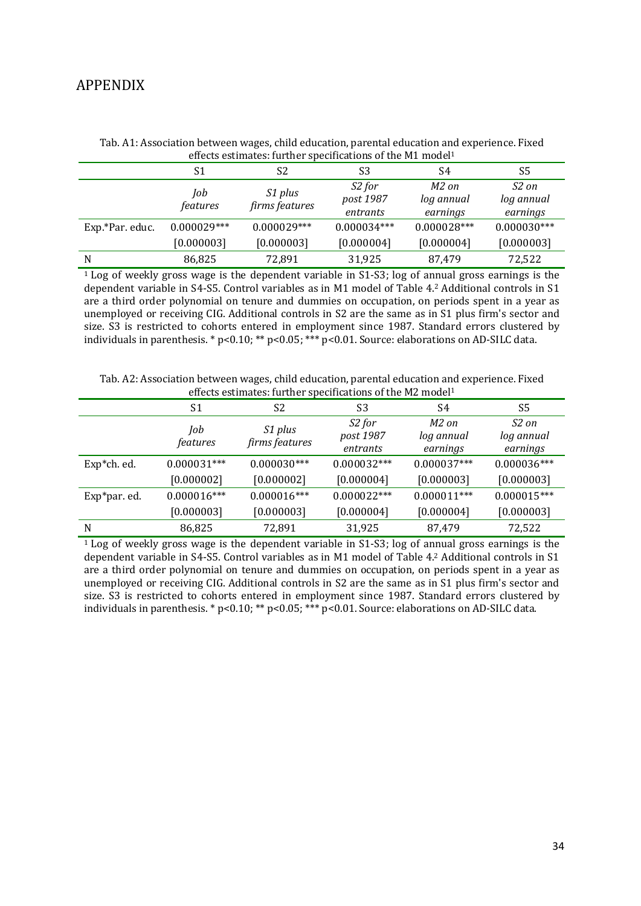#### APPENDIX

|                 |                        | encels estimates. Turnier specifications of the MT moder |                                             |                                 |                                 |
|-----------------|------------------------|----------------------------------------------------------|---------------------------------------------|---------------------------------|---------------------------------|
|                 | S1                     | S2                                                       | S3                                          | S4                              | S5                              |
|                 | Job<br><i>features</i> | S1 plus<br>firms features                                | S <sub>2</sub> for<br>post 1987<br>entrants | M2 on<br>log annual<br>earnings | S2 on<br>log annual<br>earnings |
| Exp.*Par. educ. | $0.000029***$          | $0.000029***$                                            | $0.000034***$                               | $0.000028***$                   | $0.000030***$                   |
|                 | [0.000003]             | [0.000003]                                               | [0.000004]                                  | [0.000004]                      | [0.000003]                      |
| N               | 86,825                 | 72.891                                                   | 31,925                                      | 87,479                          | 72,522                          |

Tab. A1: Association between wages, child education, parental education and experience. Fixed effects estimates: further specifications of the M1 model1

<sup>1</sup> Log of weekly gross wage is the dependent variable in S1-S3; log of annual gross earnings is the dependent variable in S4-S5. Control variables as in M1 model of Table 4.2 Additional controls in S1 are a third order polynomial on tenure and dummies on occupation, on periods spent in a year as unemployed or receiving CIG. Additional controls in S2 are the same as in S1 plus firm's sector and size. S3 is restricted to cohorts entered in employment since 1987. Standard errors clustered by individuals in parenthesis. \* p<0.10; \*\* p<0.05; \*\*\* p<0.01. Source: elaborations on AD-SILC data.

| Tab. A2: Association between wages, child education, parental education and experience. Fixed |  |
|-----------------------------------------------------------------------------------------------|--|
| effects estimates: further specifications of the M2 model <sup>1</sup>                        |  |

|              | S1              | S <sub>2</sub>            | S3                              | S4                              | S5                              |
|--------------|-----------------|---------------------------|---------------------------------|---------------------------------|---------------------------------|
|              | Job<br>features | S1 plus<br>firms features | S2 for<br>post 1987<br>entrants | M2 on<br>log annual<br>earnings | S2 on<br>log annual<br>earnings |
| Exp*ch. ed.  | $0.000031***$   | $0.000030***$             | $0.000032***$                   | $0.000037***$                   | $0.000036***$                   |
|              | [0.000002]      | [0.000002]                | [0.000004]                      | [0.000003]                      | [0.000003]                      |
| Exp*par. ed. | $0.000016***$   | $0.000016***$             | $0.000022***$                   | $0.000011***$                   | $0.000015***$                   |
|              | [0.000003]      | [0.000003]                | [0.000004]                      | [0.000004]                      | [0.000003]                      |
| N            | 86,825          | 72,891                    | 31,925                          | 87,479                          | 72,522                          |

<sup>1</sup> Log of weekly gross wage is the dependent variable in S1-S3; log of annual gross earnings is the dependent variable in S4-S5. Control variables as in M1 model of Table 4.2 Additional controls in S1 are a third order polynomial on tenure and dummies on occupation, on periods spent in a year as unemployed or receiving CIG. Additional controls in S2 are the same as in S1 plus firm's sector and size. S3 is restricted to cohorts entered in employment since 1987. Standard errors clustered by individuals in parenthesis. \* p<0.10; \*\* p<0.05; \*\*\* p<0.01. Source: elaborations on AD-SILC data.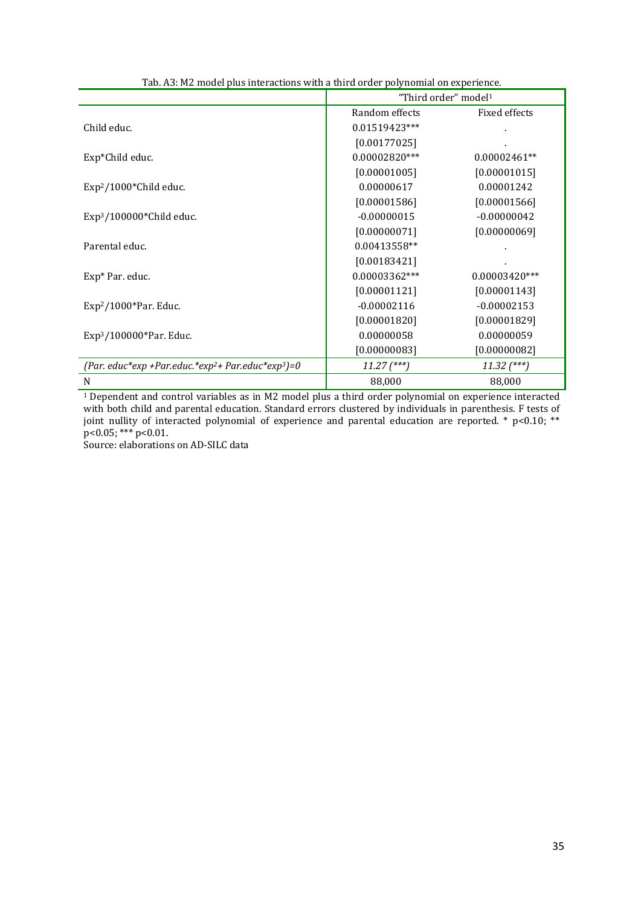|                                                                            | "Third order" model <sup>1</sup> |                 |
|----------------------------------------------------------------------------|----------------------------------|-----------------|
|                                                                            | Random effects                   | Fixed effects   |
| Child educ.                                                                | 0.01519423***                    |                 |
|                                                                            | [0.00177025]                     |                 |
| Exp*Child educ.                                                            | $0.00002820***$                  | $0.00002461**$  |
|                                                                            | [0.00001005]                     | [0.00001015]    |
| Exp <sup>2</sup> /1000*Child educ.                                         | 0.00000617                       | 0.00001242      |
|                                                                            | [0.00001586]                     | [0.00001566]    |
| $Exp3/100000*$ Child educ.                                                 | $-0.00000015$                    | $-0.00000042$   |
|                                                                            | [0.00000071]                     | [0.00000069]    |
| Parental educ.                                                             | 0.00413558**                     |                 |
|                                                                            | [0.00183421]                     |                 |
| Exp* Par. educ.                                                            | 0.00003362***                    | $0.00003420***$ |
|                                                                            | [0.00001121]                     | [0.00001143]    |
| $Exp2/1000*Par.$ Educ.                                                     | $-0.00002116$                    | $-0.00002153$   |
|                                                                            | [0.00001820]                     | [0.00001829]    |
| $Exp3/100000*Par.$ Educ.                                                   | 0.00000058                       | 0.00000059      |
|                                                                            | [0.00000083]                     | [0.00000082]    |
| (Par. educ*exp +Par.educ.*exp <sup>2</sup> + Par.educ*exp <sup>3</sup> )=0 | $11.27$ (***)                    | $11.32$ $(***)$ |
| N                                                                          | 88,000                           | 88,000          |

Tab. A3: M2 model plus interactions with a third order polynomial on experience.

1 Dependent and control variables as in M2 model plus a third order polynomial on experience interacted with both child and parental education. Standard errors clustered by individuals in parenthesis. F tests of joint nullity of interacted polynomial of experience and parental education are reported. \* p<0.10; \*\* p<0.05; \*\*\* p<0.01.

Source: elaborations on AD-SILC data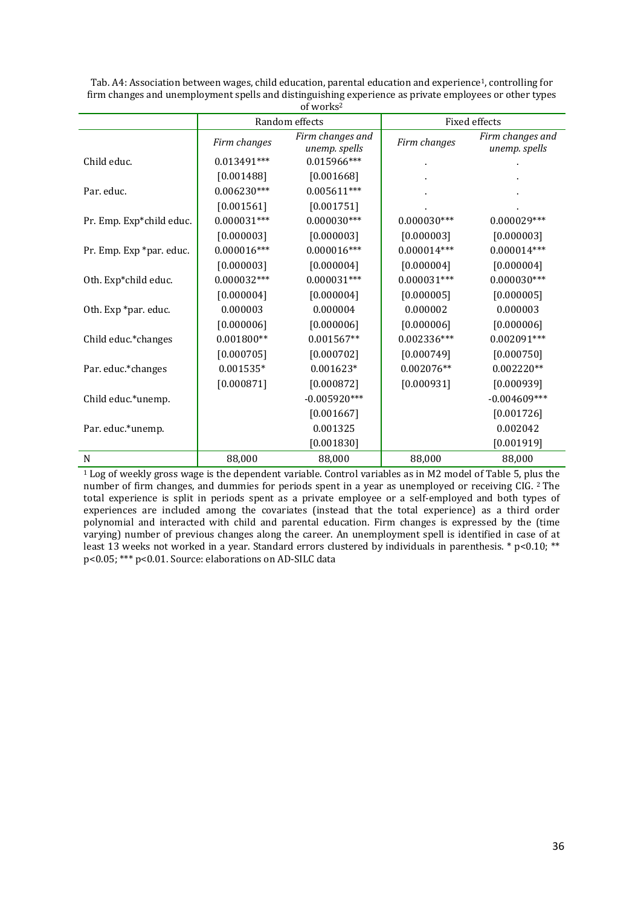|                          |               | of works <sup>2</sup>             |               |                                   |
|--------------------------|---------------|-----------------------------------|---------------|-----------------------------------|
|                          |               | Random effects                    |               | Fixed effects                     |
|                          | Firm changes  | Firm changes and<br>unemp. spells | Firm changes  | Firm changes and<br>unemp. spells |
| Child educ.              | 0.013491***   | $0.015966***$                     |               |                                   |
|                          | [0.001488]    | [0.001668]                        |               |                                   |
| Par. educ.               | $0.006230***$ | $0.005611***$                     |               |                                   |
|                          | [0.001561]    | [0.001751]                        |               |                                   |
| Pr. Emp. Exp*child educ. | $0.000031***$ | $0.000030***$                     | $0.000030***$ | $0.000029***$                     |
|                          | [0.000003]    | [0.000003]                        | [0.000003]    | [0.000003]                        |
| Pr. Emp. Exp *par. educ. | $0.000016***$ | $0.000016***$                     | $0.000014***$ | $0.000014***$                     |
|                          | [0.000003]    | [0.000004]                        | [0.000004]    | [0.000004]                        |
| Oth. Exp*child educ.     | $0.000032***$ | $0.000031***$                     | $0.000031***$ | $0.000030***$                     |
|                          | [0.000004]    | [0.000004]                        | [0.000005]    | [0.000005]                        |
| Oth. Exp *par. educ.     | 0.000003      | 0.000004                          | 0.000002      | 0.000003                          |
|                          | [0.000006]    | [0.000006]                        | [0.000006]    | [0.000006]                        |
| Child educ.*changes      | $0.001800**$  | $0.001567**$                      | $0.002336***$ | $0.002091***$                     |
|                          | [0.000705]    | [0.000702]                        | [0.000749]    | [0.000750]                        |
| Par. educ.*changes       | $0.001535*$   | $0.001623*$                       | $0.002076**$  | $0.002220**$                      |
|                          | [0.000871]    | [0.000872]                        | [0.000931]    | [0.000939]                        |
| Child educ.*unemp.       |               | $-0.005920***$                    |               | $-0.004609***$                    |
|                          |               | [0.001667]                        |               | [0.001726]                        |
| Par. educ.*unemp.        |               | 0.001325                          |               | 0.002042                          |
|                          |               | [0.001830]                        |               | [0.001919]                        |
| $\mathbf N$              | 88,000        | 88,000                            | 88,000        | 88,000                            |

| Tab. A4: Association between wages, child education, parental education and experience <sup>1</sup> , controlling for |
|-----------------------------------------------------------------------------------------------------------------------|
| firm changes and unemployment spells and distinguishing experience as private employees or other types                |
| of worke <sup>2</sup>                                                                                                 |

1 Log of weekly gross wage is the dependent variable. Control variables as in M2 model of Table 5, plus the number of firm changes, and dummies for periods spent in a year as unemployed or receiving CIG. 2 The total experience is split in periods spent as a private employee or a self-employed and both types of experiences are included among the covariates (instead that the total experience) as a third order polynomial and interacted with child and parental education. Firm changes is expressed by the (time varying) number of previous changes along the career. An unemployment spell is identified in case of at least 13 weeks not worked in a year. Standard errors clustered by individuals in parenthesis. \* p<0.10; \*\* p<0.05; \*\*\* p<0.01. Source: elaborations on AD-SILC data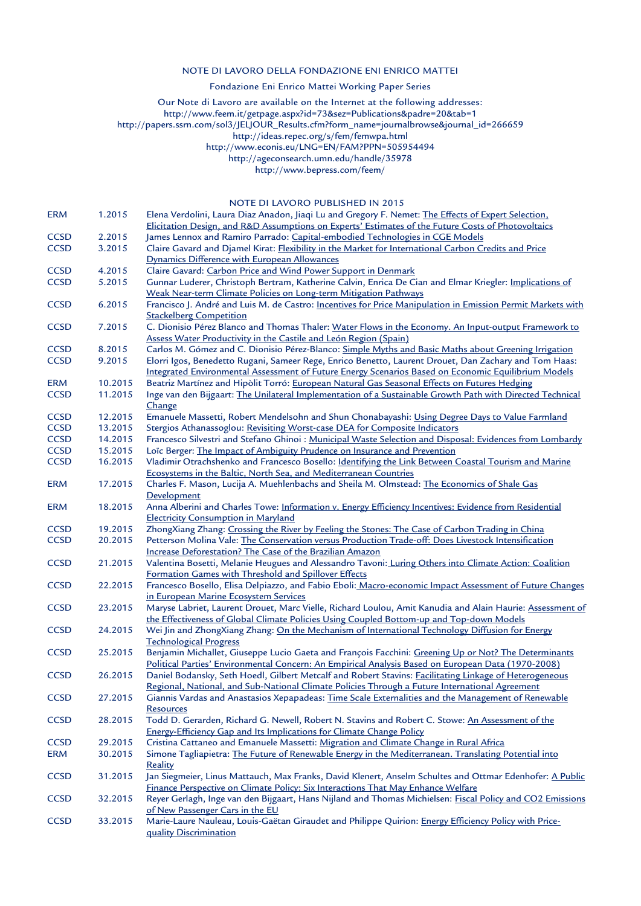#### NOTE DI LAVORO DELLA FONDAZIONE ENI ENRICO MATTEI

#### Fondazione Eni Enrico Mattei Working Paper Series

Our Note di Lavoro are available on the Internet at the following addresses:

http://www.feem.it/getpage.aspx?id=73&sez=Publications&padre=20&tab=1

http://papers.ssrn.com/sol3/JELJOUR\_Results.cfm?form\_name=journalbrowse&journal\_id=266659

http://ideas.repec.org/s/fem/femwpa.html

http://www.econis.eu/LNG=EN/FAM?PPN=505954494

http://ageconsearch.umn.edu/handle/35978

http://www.bepress.com/feem/

#### NOTE DI LAVORO PUBLISHED IN 2015

|             |         | NOTE DI LAVORO PUBLISHED IN 2015                                                                                                                                                                      |
|-------------|---------|-------------------------------------------------------------------------------------------------------------------------------------------------------------------------------------------------------|
| <b>ERM</b>  | 1.2015  | Elena Verdolini, Laura Diaz Anadon, Jiaqi Lu and Gregory F. Nemet: The Effects of Expert Selection,                                                                                                   |
|             |         | Elicitation Design, and R&D Assumptions on Experts' Estimates of the Future Costs of Photovoltaics                                                                                                    |
| <b>CCSD</b> | 2.2015  | James Lennox and Ramiro Parrado: Capital-embodied Technologies in CGE Models                                                                                                                          |
| <b>CCSD</b> | 3.2015  | Claire Gavard and Djamel Kirat: Flexibility in the Market for International Carbon Credits and Price                                                                                                  |
|             |         | Dynamics Difference with European Allowances                                                                                                                                                          |
| <b>CCSD</b> | 4.2015  | Claire Gavard: Carbon Price and Wind Power Support in Denmark                                                                                                                                         |
| <b>CCSD</b> | 5.2015  | Gunnar Luderer, Christoph Bertram, Katherine Calvin, Enrica De Cian and Elmar Kriegler: Implications of                                                                                               |
|             |         | Weak Near-term Climate Policies on Long-term Mitigation Pathways                                                                                                                                      |
| <b>CCSD</b> | 6.2015  | Francisco J. André and Luis M. de Castro: Incentives for Price Manipulation in Emission Permit Markets with<br><b>Stackelberg Competition</b>                                                         |
| <b>CCSD</b> | 7.2015  | C. Dionisio Pérez Blanco and Thomas Thaler: Water Flows in the Economy. An Input-output Framework to                                                                                                  |
|             |         | Assess Water Productivity in the Castile and León Region (Spain)                                                                                                                                      |
| <b>CCSD</b> | 8.2015  | Carlos M. Gómez and C. Dionisio Pérez-Blanco: Simple Myths and Basic Maths about Greening Irrigation                                                                                                  |
| <b>CCSD</b> | 9.2015  | Elorri Igos, Benedetto Rugani, Sameer Rege, Enrico Benetto, Laurent Drouet, Dan Zachary and Tom Haas:                                                                                                 |
|             |         | Integrated Environmental Assessment of Future Energy Scenarios Based on Economic Equilibrium Models                                                                                                   |
| <b>ERM</b>  | 10.2015 | Beatriz Martínez and Hipòlit Torró: European Natural Gas Seasonal Effects on Futures Hedging                                                                                                          |
| <b>CCSD</b> | 11.2015 | Inge van den Bijgaart: The Unilateral Implementation of a Sustainable Growth Path with Directed Technical                                                                                             |
|             |         | Change                                                                                                                                                                                                |
| <b>CCSD</b> | 12.2015 | Emanuele Massetti, Robert Mendelsohn and Shun Chonabayashi: Using Degree Days to Value Farmland                                                                                                       |
| <b>CCSD</b> | 13.2015 | Stergios Athanassoglou: Revisiting Worst-case DEA for Composite Indicators                                                                                                                            |
| <b>CCSD</b> | 14.2015 | Francesco Silvestri and Stefano Ghinoi: Municipal Waste Selection and Disposal: Evidences from Lombardy                                                                                               |
| <b>CCSD</b> | 15.2015 | Loïc Berger: The Impact of Ambiguity Prudence on Insurance and Prevention                                                                                                                             |
| <b>CCSD</b> | 16.2015 | Vladimir Otrachshenko and Francesco Bosello: Identifying the Link Between Coastal Tourism and Marine                                                                                                  |
|             |         | Ecosystems in the Baltic, North Sea, and Mediterranean Countries                                                                                                                                      |
| <b>ERM</b>  | 17.2015 | Charles F. Mason, Lucija A. Muehlenbachs and Sheila M. Olmstead: The Economics of Shale Gas                                                                                                           |
|             |         | Development                                                                                                                                                                                           |
| <b>ERM</b>  | 18.2015 | Anna Alberini and Charles Towe: Information v. Energy Efficiency Incentives: Evidence from Residential                                                                                                |
|             |         | <b>Electricity Consumption in Maryland</b>                                                                                                                                                            |
| <b>CCSD</b> | 19.2015 | ZhongXiang Zhang: Crossing the River by Feeling the Stones: The Case of Carbon Trading in China                                                                                                       |
| <b>CCSD</b> | 20.2015 | Petterson Molina Vale: The Conservation versus Production Trade-off: Does Livestock Intensification                                                                                                   |
|             |         | Increase Deforestation? The Case of the Brazilian Amazon                                                                                                                                              |
| <b>CCSD</b> | 21.2015 | Valentina Bosetti, Melanie Heugues and Alessandro Tavoni: Luring Others into Climate Action: Coalition                                                                                                |
|             |         | Formation Games with Threshold and Spillover Effects                                                                                                                                                  |
| <b>CCSD</b> | 22.2015 | Francesco Bosello, Elisa Delpiazzo, and Fabio Eboli: Macro-economic Impact Assessment of Future Changes                                                                                               |
|             |         | in European Marine Ecosystem Services                                                                                                                                                                 |
| <b>CCSD</b> | 23.2015 | Maryse Labriet, Laurent Drouet, Marc Vielle, Richard Loulou, Amit Kanudia and Alain Haurie: Assessment of<br>the Effectiveness of Global Climate Policies Using Coupled Bottom-up and Top-down Models |
| <b>CCSD</b> | 24.2015 | Wei Jin and ZhongXiang Zhang: On the Mechanism of International Technology Diffusion for Energy                                                                                                       |
|             |         | <b>Technological Progress</b>                                                                                                                                                                         |
| <b>CCSD</b> | 25.2015 | Benjamin Michallet, Giuseppe Lucio Gaeta and François Facchini: Greening Up or Not? The Determinants                                                                                                  |
|             |         | Political Parties' Environmental Concern: An Empirical Analysis Based on European Data (1970-2008)                                                                                                    |
| <b>CCSD</b> | 26.2015 | Daniel Bodansky, Seth Hoedl, Gilbert Metcalf and Robert Stavins: Facilitating Linkage of Heterogeneous                                                                                                |
|             |         | Regional, National, and Sub-National Climate Policies Through a Future International Agreement                                                                                                        |
| <b>CCSD</b> | 27.2015 | Giannis Vardas and Anastasios Xepapadeas: Time Scale Externalities and the Management of Renewable                                                                                                    |
|             |         | <b>Resources</b>                                                                                                                                                                                      |
| <b>CCSD</b> | 28.2015 | Todd D. Gerarden, Richard G. Newell, Robert N. Stavins and Robert C. Stowe: An Assessment of the                                                                                                      |
|             |         | Energy-Efficiency Gap and Its Implications for Climate Change Policy                                                                                                                                  |
| <b>CCSD</b> | 29.2015 | Cristina Cattaneo and Emanuele Massetti: Migration and Climate Change in Rural Africa                                                                                                                 |
| <b>ERM</b>  | 30.2015 | Simone Tagliapietra: The Future of Renewable Energy in the Mediterranean. Translating Potential into                                                                                                  |
|             |         | Reality                                                                                                                                                                                               |
| <b>CCSD</b> | 31.2015 | Jan Siegmeier, Linus Mattauch, Max Franks, David Klenert, Anselm Schultes and Ottmar Edenhofer: A Public                                                                                              |
| <b>CCSD</b> | 32.2015 | Finance Perspective on Climate Policy: Six Interactions That May Enhance Welfare<br>Reyer Gerlagh, Inge van den Bijgaart, Hans Nijland and Thomas Michielsen: Fiscal Policy and CO2 Emissions         |
|             |         | of New Passenger Cars in the EU                                                                                                                                                                       |
| <b>CCSD</b> | 33.2015 | Marie-Laure Nauleau, Louis-Gaëtan Giraudet and Philippe Quirion: Energy Efficiency Policy with Price-                                                                                                 |
|             |         | quality Discrimination                                                                                                                                                                                |
|             |         |                                                                                                                                                                                                       |